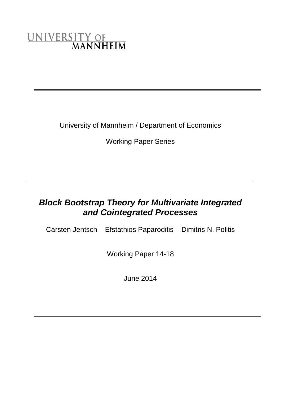# UNIVERSITY OF MANNHEIM

University of Mannheim / Department of Economics

Working Paper Series

# *Block Bootstrap Theory for Multivariate Integrated and Cointegrated Processes*

Carsten Jentsch Efstathios Paparoditis Dimitris N. Politis

Working Paper 14-18

June 2014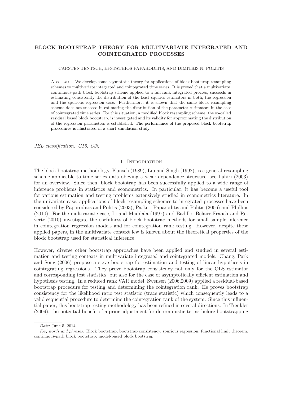# BLOCK BOOTSTRAP THEORY FOR MULTIVARIATE INTEGRATED AND COINTEGRATED PROCESSES

#### CARSTEN JENTSCH, EFSTATHIOS PAPARODITIS, AND DIMITRIS N. POLITIS

Abstract. We develop some asymptotic theory for applications of block bootstrap resampling schemes to multivariate integrated and cointegrated time series. It is proved that a multivariate, continuous-path block bootstrap scheme applied to a full rank integrated process, succeeds in estimating consistently the distribution of the least squares estimators in both, the regression and the spurious regression case. Furthermore, it is shown that the same block resampling scheme does not succeed in estimating the distribution of the parameter estimators in the case of cointegrated time series. For this situation, a modified block resampling scheme, the so-called residual based block bootstrap, is investigated and its validity for approximating the distribution of the regression parameters is established. The performance of the proposed block bootstrap procedures is illustrated in a short simulation study.

*JEL classification: C15; C32*

#### 1. INTRODUCTION

The block bootstrap methodology, Künsch (1989), Liu and Singh (1992), is a general resampling scheme applicable to time series data obeying a weak dependence structure; see Lahiri (2003) for an overview. Since then, block bootstrap has been successfully applied to a wide range of inference problems in statistics and econometrics. In particular, it has become a useful tool for various estimation and testing problems extensively studied in econometrics literature. In the univariate case, applications of block resampling schemes to integrated processes have been considered by Paparoditis and Politis (2003), Parker, Paparoditis and Politis (2006) and Phillips (2010). For the multivariate case, Li and Maddala (1997) and Badillo, Belaire-Franch and Reverte (2010) investigate the usefulness of block bootstrap methods for small sample inference in cointegration regression models and for cointegration rank testing. However, despite these applied papers, in the multivariate context few is known about the theoretical properties of the block bootstrap used for statistical inference.

However, diverse other bootstrap approaches have been applied and studied in several estimation and testing contexts in multivariate integrated and cointegrated models. Chang, Park and Song (2006) propose a sieve bootstrap for estimation and testing of linear hypothesis in cointegrating regressions. They prove bootstrap consistency not only for the OLS estimator and corresponding test statistics, but also for the case of asymptotically efficient estimation and hypothesis testing. In a reduced rank VAR model, Swensen (2006,2009) applied a residual-based bootstrap procedure for testing and determining the cointegration rank. He proves bootstrap consistency for the likelihood ratio test statistic (trace statistic) which consequently leads to a valid sequential procedure to determine the cointegration rank of the system. Since this influential paper, this bootstrap testing methodology has been refined in several directions. In Trenkler (2009), the potential benefit of a prior adjustment for deterministic terms before bootstrapping

Date: June 5, 2014.

Key words and phrases. Block bootstrap, bootstrap consistency, spurious regression, functional limit theorem, continuous-path block bootstrap, model-based block bootstrap.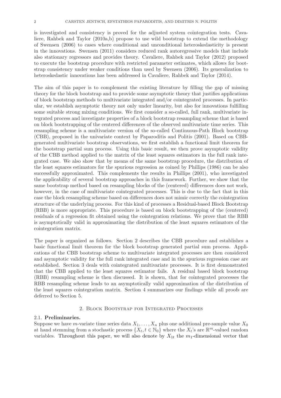is investigated and consistency is proved for the adjusted system cointegration tests. Cavaliere, Rahbek and Taylor (2010a,b) propose to use wild bootstrap to extend the methodology of Swensen (2006) to cases where conditional and unconditional heteroskedasticity is present in the innovations. Swensen (2011) considers reduced rank autoregressive models that include also stationary regressors and provides theory. Cavaliere, Rahbek and Taylor (2012) proposed to execute the bootstrap procedure with restricted parameter estimates, which allows for bootstrap consistency under weaker conditions than used by Swensen (2006). Its generalization to heteroskedastic innovations has been addressed in Cavaliere, Rahbek and Taylor (2014).

The aim of this paper is to complement the existing literature by filling the gap of missing theory for the block bootstrap and to provide some asymptotic theory that justifies applications of block bootstrap methods to multivariate integrated and/or cointegrated processes. In particular, we establish asymptotic theory not only under linearity, but also for innovations fulfilling some suitable strong mixing conditions. We first consider a so-called, full rank, multivariate integrated process and investigate properties of a block bootstrap resampling scheme that is based on block bootstrapping of the centered differences of the observed multivariate time series. This resampling scheme is a multivariate version of the so-called Continuous-Path Block bootstrap (CBB), proposed in the univariate context by Paparoditis and Politis (2001). Based on CBBgenerated multivariate bootstrap observations, we first establish a functional limit theorem for the bootstrap partial sum process. Using this basic result, we then prove asymptotic validity of the CBB method applied to the matrix of the least squares estimators in the full rank integrated case. We also show that by means of the same bootstrap procedure, the distribution of the least squares estimators for the spurious regression as coined by Phillips (1986) can be also successfully approximated. This complements the results in Phillips (2001), who investigated the applicability of several bootstrap approaches in this framework. Further, we show that the same bootstrap method based on resampling blocks of the (centered) differences does not work, however, in the case of multivariate cointegrated processes. This is due to the fact that in this case the block resampling scheme based on differences does not mimic correctly the cointegration structure of the underlying process. For this kind of processes a Residual-based Block Bootstrap (RBB) is more appropriate. This procedure is based on block bootstrapping of the (centered) residuals of a regression fit obtained using the cointegration relations. We prove that the RBB is asymptotically valid in approximating the distribution of the least squares estimators of the cointegration matrix.

The paper is organized as follows. Section 2 describes the CBB procedure and establishes a basic functional limit theorem for the block bootstrap generated partial sum process. Applications of the CBB bootstrap scheme to multivariate integrated processes are then considered and asymptotic validity for the full rank integrated case and in the spurious regression case are established. Section 3 deals with cointegrated multivariate processes. It is first demonstrated that the CBB applied to the least squares estimator fails. A residual based block bootstrap (RBB) resampling scheme is then discussed. It is shown, that for cointegrated processes the RBB resampling scheme leads to an asymptotically valid approximation of the distribution of the least squares cointegration matrix. Section 4 summarizes our findings while all proofs are deferred to Section 5.

#### 2. Block Bootstrap for Integrated Processes

#### 2.1. Preliminaries.

Suppose we have m-variate time series data  $X_1, \ldots, X_n$  plus one additional pre-sample value  $X_0$ at hand stemming from a stochastic process  $\{X_t, t \in \mathbb{N}_0\}$  where the  $X_t$ 's are  $\mathbb{R}^m$ -valued random variables. Throughout this paper, we will also denote by  $X_{1t}$  the  $m_1$ -dimensional vector that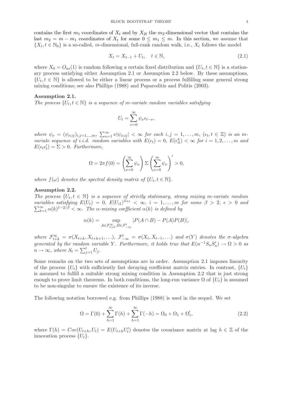contains the first  $m_1$  coordinates of  $X_t$  and by  $X_{2t}$  the  $m_2$ -dimensional vector that contains the last  $m_2 = m - m_1$  coordinates of  $X_t$  for some  $0 \leq m_1 \leq m$ . In this section, we assume that  $\{X_t, t \in \mathbb{N}_0\}$  is a so-called, m-dimensional, full-rank random walk, i.e.,  $X_t$  follows the model

$$
X_t = X_{t-1} + U_t, \quad t \in \mathbb{N},\tag{2.1}
$$

where  $X_0 = O_{as}(1)$  is random following a certain fixed distribution and  $\{U_t, t \in \mathbb{N}\}\)$  is a stationary process satisfying either Assumption 2.1 or Assumption 2.2 below. By these assumptions,  $\{U_t, t \in \mathbb{N}\}\$ is allowed to be either a linear process or a process fulfilling some general strong mixing conditions; see also Phillips (1988) and Paparoditis and Politis (2003).

#### Assumption 2.1.

*The process*  $\{U_t, t \in \mathbb{N}\}\$ is a sequence of m-variate random variables satisfying

$$
U_t = \sum_{\nu=0}^{\infty} \psi_{\nu} \epsilon_{t-\nu},
$$

 $where \psi_{\nu} = (\psi_{\nu,ij})_{i,j=1,\dots,m}, \sum_{\nu=1}^{\infty} \nu |\psi_{\nu,ij}| < \infty \text{ for each } i,j = 1,\dots,m, \ (\epsilon_t, t \in \mathbb{Z}) \text{ is an } m$ *variate sequence of i.i.d. random variables with*  $E(\epsilon_t) = 0$ ,  $E(\epsilon_{it}^4) < \infty$  for  $i = 1, 2, ..., m$  and  $E(\epsilon_t \epsilon'_t) = \Sigma > 0$ . Furthermore,

$$
\Omega = 2\pi f(0) = \left(\sum_{\nu=0}^{\infty} \psi_{\nu}\right) \Sigma \left(\sum_{\nu=0}^{\infty} \psi_{\nu}\right)' > 0,
$$

*where*  $f(\omega)$  *denotes the spectral density matrix of*  $\{U_t, t \in \mathbb{N}\}.$ 

#### Assumption 2.2.

*The process*  $\{U_t, t \in \mathbb{N}\}\$  *is a sequence of strictly stationary, strong mixing m-variate random variables satisfying*  $E(U_t) = 0$ ,  $E|U_{i1}|^{\beta+\epsilon} < \infty$ ,  $i = 1,...,m$  for some  $\beta > 2$ ,  $\epsilon > 0$  and  $\sum_{k=1}^{\infty} \alpha(k)^{1-2/\beta} < \infty$ . The  $\alpha$ -mixing coefficient  $\alpha(k)$  is defined by

$$
\alpha(k) = \sup_{A \in \mathcal{F}_{t+k}^{\infty}, B \in \mathcal{F}_{-\infty}^t} |P(A \cap B) - P(A)P(B)|,
$$

*where*  $\mathcal{F}_{t+k}^{\infty} = \sigma(X_{t+k}, X_{t+k+1}, \ldots), \mathcal{F}_{-\infty}^t = \sigma(X_t, X_{t-1}, \ldots)$  and  $\sigma(Y)$  denotes the  $\sigma$ -algebra *generated by the random variable Y.* Furthermore, it holds true that  $E(n^{-1}S_nS'_n) \to \Omega > 0$  as  $n \to \infty$ , where  $S_t = \sum_{j=1}^t U_j$ .

Some remarks on the two sets of assumptions are in order. Assumption 2.1 imposes linearity of the process  $\{U_t\}$  with sufficiently fast decaying coefficient matrix entries. In contrast,  $\{U_t\}$ is assumed to fulfill a suitable strong mixing condition in Assumption 2.2 that is just strong enough to prove limit theorems. In both conditions, the long-run variance  $\Omega$  of  $\{U_t\}$  is assumed to be non-singular to ensure the existence of its inverse.

The following notation borrowed e.g. from Phillips (1988) is used in the sequel. We set

$$
\Omega = \Gamma(0) + \sum_{h=1}^{\infty} \Gamma(h) + \sum_{h=1}^{\infty} \Gamma(-h) = \Omega_0 + \Omega_1 + \Omega'_1,
$$
\n(2.2)

where  $\Gamma(h) = Cov(U_{t+h}, U_t) = E(U_{t+h}U_t')$  denotes the covariance matrix at lag  $h \in \mathbb{Z}$  of the innovation process  $\{U_t\}.$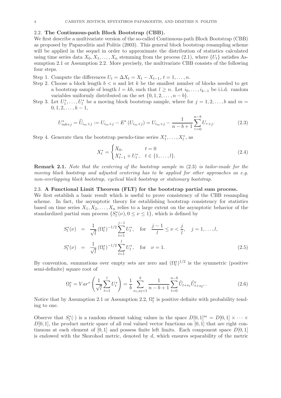#### 2.2. The Continuous-path Block Bootstrap (CBB).

We first describe a multivariate version of the so-called Continuous-path Block Bootstrap (CBB) as proposed by Paparoditis and Politis (2003). This general block bootstrap resampling scheme will be applied in the sequel in order to approximate the distribution of statistics calculated using time series data  $X_0, X_1, \ldots, X_n$  stemming from the process (2.1), where  $\{U_t\}$  satisfies Assumption 2.1 or Assumption 2.2. More precisely, the multivariate CBB consists of the following four steps.

- Step 1. Compute the differences  $U_t = \Delta X_t = X_t X_{t-1}, t = 1, \ldots, n$ .
- Step 2. Choose a block length  $b < n$  and let k be the smallest number of blocks needed to get a bootstrap sample of length  $l = kb$ , such that  $l \geq n$ . Let  $i_0, \ldots, i_{k-1}$  be i.i.d. random variables uniformly distributed on the set  $\{0, 1, 2, \ldots, n - b\}.$
- Step 3. Let  $U_1^*, \ldots, U_l^*$  be a moving block bootstrap sample, where for  $j = 1, 2, \ldots, b$  and  $m =$  $0, 1, 2, \ldots, k-1,$

$$
U_{mb+j}^* = \hat{U}_{i_m+j} := U_{i_m+j} - E^* (U_{i_m+j}) = U_{i_m+j} - \frac{1}{n-b+1} \sum_{\tau=0}^{n-b} U_{\tau+j}.
$$
 (2.3)

Step 4. Generate then the bootstrap pseudo-time series  $X_1^*, \ldots, X_l^*$ , as

$$
X_t^* = \begin{cases} X_0, & t = 0\\ X_{t-1}^* + U_t^*, & t \in \{1, \dots, l\}. \end{cases}
$$
 (2.4)

Remark 2.1. *Note that the centering of the bootstrap sample in* (2.3) *is tailor-made for the moving block bootstrap and adjusted centering has to be applied for other approaches as e.g. non-overlapping block bootstrap, cyclical block bootstrap or stationary bootstrap.*

# 2.3. A Functional Limit Theorem (FLT) for the bootstrap partial sum process.

We first establish a basic result which is useful to prove consistency of the CBB resampling scheme. In fact, the asymptotic theory for establishing bootstrap consistency for statistics based on time series  $X_1, X_2, \ldots, X_n$  relies to a large extent on the asymptotic behavior of the standardized partial sum process  $\{S_l^*(\nu), 0 \le \nu \le 1\}$ , which is defined by

$$
S_l^*(\nu) = \frac{1}{\sqrt{l}} (\Omega_l^*)^{-1/2} \sum_{t=1}^{j-1} U_l^*, \text{ for } \frac{j-1}{l} \le \nu < \frac{j}{l}, \quad j = 1, ..., l,
$$
  

$$
S_l^*(\nu) = \frac{1}{\sqrt{l}} (\Omega_l^*)^{-1/2} \sum_{t=1}^l U_l^*, \text{ for } \nu = 1.
$$
 (2.5)

By convention, summations over empty sets are zero and  $(\Omega_l^*)^{1/2}$  is the symmetric (positive semi-definite) square root of

$$
\Omega_l^* = Var^* \left( \frac{1}{\sqrt{l}} \sum_{t=1}^l U_t^* \right) = \frac{1}{b} \sum_{s_1, s_2 = 1}^b \frac{1}{n - b + 1} \sum_{t=0}^{n - b} \widehat{U}_{t+s_1} \widehat{U}_{t+s_2}^*,
$$
\n(2.6)

Notice that by Assumption 2.1 or Assumption 2.2,  $\Omega_l^*$  is positive definite with probability tending to one.

Observe that  $S_l^*(\cdot)$  is a random element taking values in the space  $D[0,1]^m = D[0,1] \times \cdots \times$  $D[0, 1]$ , the product metric space of all real valued vector functions on  $[0, 1]$  that are right continuous at each element of  $[0, 1]$  and possess finite left limits. Each component space  $D[0, 1]$ is endowed with the Skorohod metric, denoted by  $d$ , which ensures separability of the metric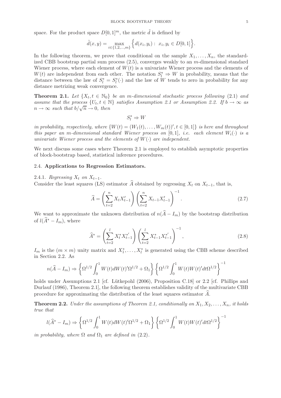space. For the product space  $D[0,1]^m$ , the metric  $\tilde{d}$  is defined by

$$
\tilde{d}(x,y) = \max_{i \in \{1,2,\dots,m\}} \left\{ d(x_i, y_i) : x_i, y_i \in D[0,1] \right\}.
$$

In the following theorem, we prove that conditional on the sample  $X_1, \ldots, X_n$ , the standardized CBB bootstrap partial sum process  $(2.5)$ , converges weakly to an m-dimensional standard Wiener process, where each element of  $W(t)$  is a univariate Wiener process and the elements of  $W(t)$  are independent from each other. The notation  $S_l^* \Rightarrow W$  in probability, means that the distance between the law of  $S_l^* = S_l^*(\cdot)$  and the law of W tends to zero in probability for any distance metrizing weak convergence.

**Theorem 2.1.** Let  $\{X_t, t \in \mathbb{N}_0\}$  be an m-dimensional stochastic process following (2.1) and *assume that the process*  $\{U_t, t \in \mathbb{N}\}\$  *satisfies Assumption 2.1 or Assumption 2.2. If*  $b \to \infty$  *as*  $n \to \infty$  *such that*  $b/\sqrt{n} \to 0$ *, then* 

 $S_l^* \Rightarrow W$ 

*in probability, respectively, where*  $\{W(t) = (W_1(t), \ldots, W_m(t))\}'$ ,  $t \in [0,1]\}$  *is here and throughout this paper an* m-dimensional standard Wiener process on [0,1], *i.e.* each element  $W_i(\cdot)$  is a *univariate Wiener process and the elements of*  $W(\cdot)$  *are independent.* 

We next discuss some cases where Theorem 2.1 is employed to establish asymptotic properties of block-bootstrap based, statistical inference procedures.

# 2.4. Applications to Regression Estimators.

2.4.1. *Regressing*  $X_t$  *on*  $X_{t-1}$ .

Consider the least squares (LS) estimator  $\widehat{A}$  obtained by regressing  $X_t$  on  $X_{t-1}$ , that is,

$$
\widehat{A} = \left(\sum_{t=2}^{n} X_t X_{t-1}'\right) \left(\sum_{t=2}^{n} X_{t-1} X_{t-1}'\right)^{-1}.
$$
\n(2.7)

We want to approximate the unknown distribution of  $n(\hat{A} - I_m)$  by the bootstrap distribution of  $l(\widehat{A}^* - I_m)$ , where

$$
\widehat{A}^* = \left(\sum_{t=2}^l X_t^* X_{t-1}^{*'}\right) \left(\sum_{t=2}^l X_{t-1}^* X_{t-1}^{*'}\right)^{-1},\tag{2.8}
$$

 $I_m$  is the  $(m \times m)$  unity matrix and  $X_1^*, \ldots, X_l^*$  is generated using the CBB scheme described in Section 2.2. As

$$
n(\widehat{A} - I_m) \Rightarrow \left\{ \Omega^{1/2} \int_0^1 W(t) dW(t)' \Omega^{1/2} + \Omega_1 \right\} \left\{ \Omega^{1/2} \int_0^1 W(t) W(t)' dt \Omega^{1/2} \right\}^{-1}
$$

holds under Assumptions 2.1 [cf. Lütkepohl  $(2006)$ , Proposition C.18] or 2.2 [cf. Phillips and Durlauf (1986), Theorem 2.1], the following theorem establishes validity of the multivariate CBB procedure for approximating the distribution of the least squares estimator  $\tilde{A}$ .

**Theorem 2.2.** *Under the assumptions of Theorem 2.1, conditionally on*  $X_1, X_2, \ldots, X_n$ *, it holds true that*

$$
l(\widehat{A}^* - I_m) \Rightarrow \left\{ \Omega^{1/2} \int_0^1 W(t) dW(t)' \Omega^{1/2} + \Omega_1 \right\} \left\{ \Omega^{1/2} \int_0^1 W(t) W(t)' dt \Omega^{1/2} \right\}^{-1}
$$

*in probability, where*  $\Omega$  *and*  $\Omega_1$  *are defined in* (2.2).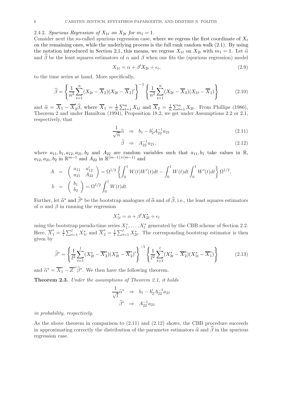# 2.4.2. *Spurious Regression of*  $X_{1t}$  *on*  $X_{2t}$  *for*  $m_1 = 1$ *.*

Consider next the so-called spurious regression case, where we regress the first coordinate of  $X_t$ on the remaining ones, while the underlying process is the full rank random walk (2.1). By using the notation introduced in Section 2.1, this means, we regress  $X_{1t}$  on  $X_{2t}$  with  $m_1 = 1$ . Let  $\hat{\alpha}$ and  $\hat{\beta}$  be the least squares estimators of  $\alpha$  and  $\beta$  when one fits the (spurious regression) model

$$
X_{1t} = \alpha + \beta' X_{2t} + \epsilon_t, \tag{2.9}
$$

to the time series at hand. More specifically,

$$
\widehat{\beta} = \left\{ \frac{1}{n^2} \sum_{t=1}^n (X_{2t} - \overline{X}_2)(X_{2t} - \overline{X}_2)' \right\}^{-1} \left\{ \frac{1}{n^2} \sum_{t=1}^n (X_{2t} - \overline{X}_2)(X_{1t} - \overline{X}_1) \right\}
$$
(2.10)

and  $\hat{\alpha} = \overline{X}_1 - \overline{X}'_2 \hat{\beta}$ , where  $\overline{X}_1 = \frac{1}{n} \sum_{t=1}^n X_{1t}$  and  $\overline{X}_2 = \frac{1}{n} \sum_{t=1}^n X_{2t}$ . From Phillips (1986), Theorem 2 and under Hamilton (1994), Proposition 18.2, we get under Assumptions 2.2 or 2.1, respectively, that

$$
\frac{1}{\sqrt{n}}\hat{\alpha} \quad \Rightarrow \quad b_1 - b_2' A_{22}^{-1} a_{21} \tag{2.11}
$$

$$
\widehat{\beta} \quad \Rightarrow \quad A_{22}^{-1} a_{21}, \tag{2.12}
$$

where  $a_{11},b_1,a_{12},a_{21},b_2$  and  $A_{22}$  are random variables such that  $a_{11},b_1$  take values in R,  $a_{12}, a_{21}, b_2$  in  $\mathbb{R}^{m-1}$  and  $A_{22}$  in  $\mathbb{R}^{(m-1)\times(m-1)}$  and

$$
A = \begin{pmatrix} a_{11} & a'_{12} \\ a_{21} & A_{22} \end{pmatrix} = \Omega^{1/2} \left\{ \int_0^1 W(t)W'(t)dt - \int_0^1 W(t)dt \int_0^1 W'(t)dt \right\} \Omega^{1/2},
$$
  
\n
$$
b = \begin{pmatrix} b_1 \\ b_2 \end{pmatrix} = \Omega^{1/2} \int_0^1 W(t)dt.
$$

Further, let  $\hat{\alpha}^*$  and  $\hat{\beta}^*$  be the bootstrap analogues of  $\hat{\alpha}$  and of  $\hat{\beta}$ , i.e., the least squares estimators of  $\alpha$  and  $\beta$  in running the regression

$$
X_{1t}^* = \alpha + \beta' X_{2t}^* + \epsilon_t
$$

using the bootstrap pseudo-time series  $X_1^*, \ldots, X_l^*$  generated by the CBB scheme of Section 2.2. Here,  $\overline{X}_1^* = \frac{1}{l} \sum_{t=1}^l X_{1t}^*$  and  $\overline{X}_2^* = \frac{1}{l} \sum_{t=1}^l X_{2t}^*$ . The corresponding bootstrap estimator is then given by

$$
\widehat{\beta}^* = \left\{ \frac{1}{l^2} \sum_{t=1}^l (X_{2t}^* - \overline{X}_2^*)(X_{2t}^* - \overline{X}_2^*)' \right\}^{-1} \left\{ \frac{1}{l^2} \sum_{t=1}^l (X_{2t}^* - \overline{X}_2^*)(X_{1t}^* - \overline{X}_1^*) \right\} \tag{2.13}
$$

and  $\hat{\alpha}^* = \overline{X}_1^* - \overline{Z}^{*\prime} \hat{\beta}^*$ . We then have the following theorem.

Theorem 2.3. *Under the assumptions of Theorem 2.1, it holds*

$$
\frac{1}{\sqrt{l}}\widehat{\alpha}^* \Rightarrow b_1 - b_2'A_{22}^{-1}a_{21}
$$

$$
\widehat{\beta}^* \Rightarrow A_{22}^{-1}a_{21}
$$

*in probability, respectively.*

As the above theorem in comparison to (2.11) and (2.12) shows, the CBB procedure succeeds in approximating correctly the distribution of the parameter estimators  $\hat{\alpha}$  and  $\hat{\beta}$  in the spurious regression case.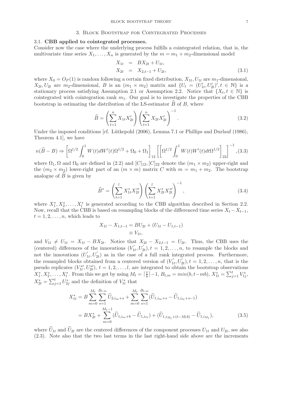#### 3. Block Bootstrap for Cointegrated Processes

# 3.1. CBB applied to cointegrated processes.

Consider now the case where the underlying process fulfills a cointegrated relation, that is, the multivariate time series  $X_1, \ldots, X_n$  is generated by the  $m = m_1 + m_2$ -dimensional model

$$
X_{1t} = BX_{2t} + U_{1t},
$$
  
\n
$$
X_{2t} = X_{2,t-1} + U_{2t},
$$
\n(3.1)

where  $X_0 = O_P(1)$  is random following a certain fixed distribution,  $X_{1t}$ ,  $U_{1t}$  are  $m_1$ -dimensional,  $X_{2t}, U_{2t}$  are  $m_2$ -dimensional, B is an  $(m_1 \times m_2)$  matrix and  $\{U_t = (U'_{1t}, U'_{2t})', t \in \mathbb{N}\}\)$  is a stationary process satisfying Assumption 2.1 or Assumption 2.2. Notice that  $\{X_t, t \in \mathbb{N}\}\$ is cointegrated with cointegration rank  $m_1$ . Our goal is to investigate the properties of the CBB bootstrap in estimating the distribution of the LS-estimator  $\overline{B}$  of  $\overline{B}$ , where

$$
\widehat{B} = \left(\sum_{t=1}^{n} X_{1t} X_{2t}'\right) \left(\sum_{t=1}^{n} X_{2t} X_{2t}'\right)^{-1}.
$$
\n(3.2)

Under the imposed conditions [cf. Lütkepohl (2006), Lemma 7.1 or Phillips and Durlauf (1986), Theorem 4.1], we have

$$
n(\hat{B} - B) \Rightarrow \left[\Omega^{1/2} \int_0^1 W(t) dW'(t) \Omega^{1/2} + \Omega_0 + \Omega_1\right]_{12} \left[\left[\Omega^{1/2} \int_0^1 W(t) W'(t) dt \Omega^{1/2}\right]_{22}\right]^{-1}, (3.3)
$$

where  $\Omega_1, \Omega$  and  $\Omega_0$  are defined in (2.2) and  $[C]_{12}$ ,  $[C]_{22}$  denote the  $(m_1 \times m_2)$  upper-right and the  $(m_2 \times m_2)$  lower-right part of an  $(m \times m)$  matrix C with  $m = m_1 + m_2$ . The bootstrap analogue of  $\widehat{B}$  is given by

$$
\widehat{B}^* = \left(\sum_{t=1}^l X_{1t}^* X_{2t}^{*t}\right) \left(\sum_{t=1}^l X_{2t}^* X_{2t}^{*t}\right)^{-1},\tag{3.4}
$$

where  $X_1^*, X_2^*, \ldots, X_l^*$  is generated according to the CBB algorithm described in Section 2.2. Now, recall that the CBB is based on resampling blocks of the differenced time series  $X_t - X_{t-1}$ ,  $t = 1, 2, \ldots, n$ , which leads to

$$
X_{1t} - X_{1,t-1} = BU_{2t} + (U_{1t} - U_{1,t-1})
$$
  

$$
\equiv V_{1t},
$$

and  $V_{1t} \neq U_{1t} = X_{1t} - BX_{2t}$ . Notice that  $X_{2t} - X_{2,t-1} = U_{2t}$ . Thus, the CBB uses the (centered) differences of the innovations  $(V_1)$  $U'_{1t}, U'_{2t}$ ,  $t = 1, 2, \ldots, n$ , to resample the blocks and not the innovations  $(U_1)$  $U_{1t}$ ,  $U_{2t}$ ) as in the case of a full rank integrated process. Furthermore, the resampled blocks obtained from a centered version of  $(V_1')$  $U'_{1t}, U'_{2t}$ ),  $t = 1, 2, ..., n$ , that is the pseudo replicates  $(V_{1t}^{*'} , U_{2t}^{*})$ ,  $t = 1, 2, ..., l$ , are integrated to obtain the bootstrap observations  $X_1^*, X_2^*, \ldots, X_l^*$ . From this we get by using  $M_t = \lceil \frac{t}{b} \rceil$  $\frac{t}{b}$ ] – 1,  $B_{t,m} = min(b, t-mb), X_{1t}^* = \sum_{j=1}^t V_{1j}^*$ ,  $X_{2t}^* = \sum_{j=1}^t U_{2j}^*$  and the definition of  $V_{1t}^*$  that

$$
X_{1t}^{*} = B \sum_{m=0}^{M_t} \sum_{s=1}^{B_{t,m}} \widehat{U}_{2,i_m+s} + \sum_{m=0}^{M_t} \sum_{s=1}^{B_{t,m}} (\widehat{U}_{1,i_m+s} - \widehat{U}_{1,i_m+s-1})
$$
  
= 
$$
BX_{2t}^{*} + \sum_{m=0}^{M_t-1} (\widehat{U}_{1,i_m+b} - \widehat{U}_{1,i_m}) + (\widehat{U}_{1,i_{M_t}+(t-M_t b)} - \widehat{U}_{1,i_{M_t}}),
$$
(3.5)

where  $U_{1t}$  and  $U_{2t}$  are the centered differences of the component processes  $U_{1t}$  and  $U_{2t}$ , see also (2.3). Note also that the two last terms in the last right-hand side above are the increments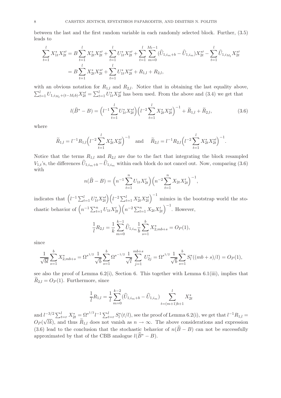between the last and the first random variable in each randomly selected block. Further, (3.5) leads to

$$
\sum_{t=1}^{l} X_{1t}^{*} X_{2t}^{*l} = B \sum_{t=1}^{l} X_{2t}^{*} X_{2t}^{*l} + \sum_{t=1}^{l} U_{1t}^{*} X_{2t}^{*l} + \sum_{t=1}^{l} \sum_{m=0}^{M_{t}-1} (\widehat{U}_{1,i_{m}+b} - \widehat{U}_{1,i_{m}}) X_{2t}^{*l} - \sum_{t=1}^{l} \widehat{U}_{1,i_{M_{t}}} X_{2t}^{*l}
$$

$$
= B \sum_{t=1}^{l} X_{2t}^{*} X_{2t}^{*l} + \sum_{t=1}^{l} U_{1t}^{*} X_{2t}^{*l} + R_{1,l} + R_{2,l},
$$

with an obvious notation for  $R_{1,l}$  and  $R_{2,l}$ . Notice that in obtaining the last equality above,  $\sum_{t=1}^{l} U_{1,i_{M_t}+(t-M_t b)} X_{2t}^{*\prime} = \sum_{t=1}^{l} U_{1t}^{*} X_{2t}^{*\prime}$  has been used. From the above and (3.4) we get that

$$
l(\widehat{B}^* - B) = \left(l^{-1} \sum_{t=1}^l U_{1t}^* X_{2t}^{*l}\right) \left(l^{-2} \sum_{t=1}^l X_{2t}^* X_{2t}^{*l}\right)^{-1} + \widetilde{R}_{1,l} + \widetilde{R}_{2,l},\tag{3.6}
$$

where

$$
\widetilde{R}_{1,l} = l^{-1} R_{1,l} \left( l^{-2} \sum_{t=1}^{l} X_{2t}^{*} X_{2t}^{*'} \right)^{-1} \quad \text{and} \quad \widetilde{R}_{2,l} = l^{-1} R_{2,l} \left( l^{-2} \sum_{t=1}^{l} X_{2t}^{*} X_{2t}^{*'} \right)^{-1}.
$$

Notice that the terms  $R_{1,l}$  and  $R_{2,l}$  are due to the fact that integrating the block resampled  $V_{1,t}$ 's, the differences  $U_{1,i_m+b} - U_{1,i_m}$  within each block do not cancel out. Now, comparing (3.6) with

$$
n(\widehat{B} - B) = \left(n^{-1} \sum_{t=1}^{n} U_{1t} X'_{2t}\right) \left(n^{-2} \sum_{t=1}^{n} X_{2t} X'_{2t}\right)^{-1},
$$

indicates that  $(l^{-1}\sum_{t=1}^l U_{1t}^* X_{2t}^{*l}) (l^{-2}\sum_{t=1}^l X_{2t}^* X_{2t}^{*l})$  $\int$ <sup>-1</sup> mimics in the bootstrap world the stochastic behavior of  $\left(n^{-1}\sum_{t=1}^{n}U_{1t}X'_{2t}\right)\left(n^{-2}\sum_{t=1}^{n}X_{2t}X'_{2t}\right)$  $\Big)^{-1}$ . However,

$$
\frac{1}{l}R_{2,l} = \frac{1}{k} \sum_{m=0}^{k-1} \widehat{U}_{1,i_m} \frac{1}{b} \sum_{s=1}^{b} X_{2,mb+s}^* = O_P(1),
$$

since

$$
\frac{1}{\sqrt{bl}}\sum_{s=1}^{b} X_{2,mb+s}^{*} = {\Omega^*}^{1/2} \frac{1}{\sqrt{b}}\sum_{s=1}^{b} {\Omega^*}^{-1/2} \frac{1}{\sqrt{l}} \sum_{j=1}^{mb+s} U_{2j}^{*} = {\Omega^*}^{1/2} \frac{1}{\sqrt{b}}\sum_{s=1}^{b} S_l^{*}((mb+s)/l) = O_P(1),
$$

see also the proof of Lemma 6.2(i), Section 6. This together with Lemma 6.1(iii), implies that  $R_{2,l} = O_P(1)$ . Furthermore, since

$$
\frac{1}{l}R_{1,l} = \frac{1}{l} \sum_{m=0}^{k-2} (\widehat{U}_{1,i_m+b} - \widehat{U}_{1,i_m}) \sum_{t=(m+1)b+1}^{l} X_{2t}^*
$$

and  $l^{-3/2} \sum_{t=r}^{l} X_{2t}^{*} = \Omega^{*^{1/2}} l^{-1} \sum_{t=r}^{l} S_{l}^{*}(t/l)$ , see the proof of Lemma 6.2(i), we get that  $l^{-1}R_{1,l} =$  $O_P(\sqrt{lk})$ , and thus  $\widetilde{R}_{1,l}$  does not vanish as  $n \to \infty$ . The above considerations and expression (3.6) lead to the conclusion that the stochastic behavior of  $n(\widehat{B}-B)$  can not be successfully approximated by that of the CBB analogue  $l(\widehat{B}^* - B)$ .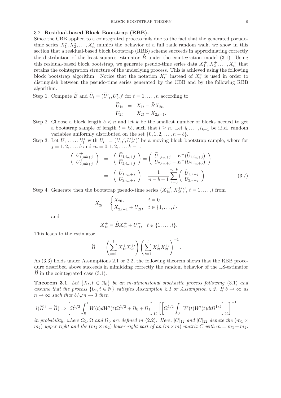#### 3.2. Residual-based Block Bootstrap (RBB).

Since the CBB applied to a cointegrated process fails due to the fact that the generated pseudotime series  $X_1^*, X_2^*, \ldots, X_n^*$  mimics the behavior of a full rank random walk, we show in this section that a residual-based block bootstrap (RBB) scheme succeeds in approximating correctly the distribution of the least squares estimator  $\hat{B}$  under the cointegration model (3.1). Using this residual-based block bootstrap, we generate pseudo-time series data  $X_1^+, X_2^+, \ldots, X_n^+$  that retains the cointegration structure of the underlying process. This is achieved using the following block bootstrap algorithm. Notice that the notation  $X_t^+$  instead of  $X_t^*$  is used in order to distinguish between the pseudo-time series generated by the CBB and by the following RBB algorithm.

Step 1. Compute  $\widehat{B}$  and  $\widetilde{U}_t = (\widetilde{U}'_{1t}, U'_{2t})'$  for  $t = 1, ..., n$  according to

$$
\begin{aligned}\n\widetilde{U}_{1t} &= X_{1t} - \widehat{B}X_{2t}, \\
U_{2t} &= X_{2t} - X_{2,t-1}.\n\end{aligned}
$$

- Step 2. Choose a block length  $b < n$  and let k be the smallest number of blocks needed to get a bootstrap sample of length  $l = kb$ , such that  $l \geq n$ . Let  $i_0, \ldots, i_{k-1}$  be i.i.d. random variables uniformly distributed on the set  $\{0, 1, 2, \ldots, n - b\}.$
- Step 3. Let  $U_1^+,\ldots,U_l^*$  with  $U_t^+ = (U_{1t}^{+'} , U_{2t}^{+'} )'$  be a moving block bootstrap sample, where for  $j = 1, 2, \ldots, b$  and  $m = 0, 1, 2, \ldots, k - 1$ ,

$$
\begin{pmatrix}\nU^+_{1,mb+j} \\
U^+_{2,mb+j}\n\end{pmatrix} = \begin{pmatrix}\n\widehat{U}_{1,im+j} \\
\widehat{U}_{2,im+j}\n\end{pmatrix} = \begin{pmatrix}\n\widetilde{U}_{1,im+j} - E^+(\widetilde{U}_{1,im+j}) \\
U_{2,im+j} - E^+(\widetilde{U}_{2,im+j})\n\end{pmatrix}
$$
\n
$$
= \begin{pmatrix}\n\widetilde{U}_{1,im+j} \\
U_{2,im+j}\n\end{pmatrix} - \frac{1}{n-b+1} \sum_{\tau=0}^{n-b} \begin{pmatrix}\n\widetilde{U}_{1,\tau+j} \\
U_{2,\tau+j}\n\end{pmatrix}.
$$
\n(3.7)

Step 4. Generate then the bootstrap pseudo-time series  $(X_{1t}^{+}, X_{2t}^{+})'$ ,  $t = 1, ..., l$  from

$$
X_{2t}^{+} = \begin{cases} X_{20}, & t = 0\\ X_{2,t-1}^{+} + U_{2t}^{+}, & t \in \{1, \ldots, l\} \end{cases}
$$

and

$$
X_{1t}^{+} = \widehat{B}X_{2t}^{+} + U_{1t}^{+}, \quad t \in \{1, \ldots, l\}.
$$

This leads to the estimator

$$
\widehat{B}^{+} = \left(\sum_{t=1}^{l} X_{1t}^{+} X_{2t}^{+} \right) \left(\sum_{t=1}^{l} X_{2t}^{+} X_{2t}^{+} \right)^{-1}.
$$

As (3.3) holds under Assumptions 2.1 or 2.2, the following theorem shows that the RBB procedure described above succeeds in mimicking correctly the random behavior of the LS-estimator  $\widehat{B}$  in the cointegrated case (3.1).

**Theorem 3.1.** Let  $\{X_t, t \in \mathbb{N}_0\}$  be an m-dimensional stochastic process following (3.1) and *assume that the process*  $\{U_t, t \in \mathbb{N}\}\$  *satisfies Assumption 2.1 or Assumption 2.2. If*  $b \to \infty$  *as*  $n \to \infty$  *such that*  $b/\sqrt{n} \to 0$  *then* 

$$
l(\widehat{B}^+ - \widehat{B}) \Rightarrow \left[\Omega^{1/2} \int_0^1 W(t) dW'(t) \Omega^{1/2} + \Omega_0 + \Omega_1\right]_{12} \left[\left[\Omega^{1/2} \int_0^1 W(t) W'(t) dt \Omega^{1/2}\right]_{22}\right]^{-1}
$$

*in probability, where*  $\Omega_1$ ,  $\Omega$  *and*  $\Omega_0$  *are defined in* (2.2)*. Here,* [C]<sub>12</sub> *and* [C]<sub>22</sub> *denote the* ( $m_1 \times$  $(m_2)$  *upper-right and the*  $(m_2 \times m_2)$  *lower-right part of an*  $(m \times m)$  *matrix* C *with*  $m = m_1 + m_2$ *.*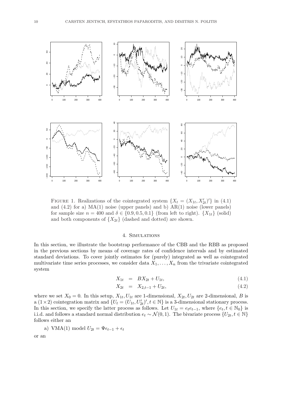

FIGURE 1. Realizations of the cointegrated system  $\{X_t = (X_{1t}, X'_{2t})'\}$  in (4.1) and  $(4.2)$  for a)  $MA(1)$  noise (upper panels) and b)  $AR(1)$  noise (lower panels) for sample size  $n = 400$  and  $\delta \in \{0.9, 0.5, 0.1\}$  (from left to right).  $\{X_{1t}\}\$  (solid) and both components of  ${X_{2t}}$  (dashed and dotted) are shown.

## 4. Simulations

In this section, we illustrate the bootstrap performance of the CBB and the RBB as proposed in the previous sections by means of coverage rates of confidence intervals and by estimated standard deviations. To cover jointly estimates for (purely) integrated as well as cointegrated multivariate time series processes, we consider data  $X_1, \ldots, X_n$  from the trivariate cointegrated system

$$
X_{1t} = BX_{2t} + U_{1t}, \t\t(4.1)
$$

$$
X_{2t} = X_{2,t-1} + U_{2t}, \t\t(4.2)
$$

where we set  $X_0 = 0$ . In this setup,  $X_{1t}$ ,  $U_{1t}$  are 1-dimensional,  $X_{2t}$ ,  $U_{2t}$  are 2-dimensional, B is a  $(1 \times 2)$  cointegration matrix and  $\{U_t = (U_{1t}, U'_{2t})', t \in \mathbb{N}\}\)$  is a 3-dimensional stationary process. In this section, we specify the latter process as follows. Let  $U_{1t} = e_t e_{t-1}$ , where  $\{e_t, t \in \mathbb{N}_0\}$  is i.i.d. and follows a standard normal distribution  $e_t \sim \mathcal{N}(0, 1)$ . The bivariate process  $\{U_{2t}, t \in \mathbb{N}\}\$ follows either an

a) VMA(1) model 
$$
U_{2t} = \Psi \epsilon_{t-1} + \epsilon_t
$$

or an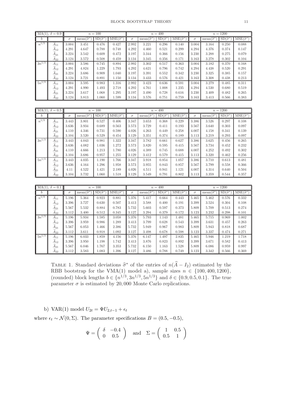|            | MA(1), $\delta = 0.9$ |          |                        | $n = 100$            |                       |          |                        | $n = 400$            |                       |          |                        | $n = 1200$           |                       |
|------------|-----------------------|----------|------------------------|----------------------|-----------------------|----------|------------------------|----------------------|-----------------------|----------|------------------------|----------------------|-----------------------|
| b          |                       | $\sigma$ | $mean(\hat{\sigma}^*)$ | $SD(\hat{\sigma}^*)$ | $MSE(\hat{\sigma}^*)$ | $\sigma$ | mean( $\hat{\sigma}^*$ | $SD(\hat{\sigma}^*)$ | $MSE(\hat{\sigma}^*)$ | $\sigma$ | mean( $\hat{\sigma}^*$ | $SD(\hat{\sigma}^*)$ | $MSE(\hat{\sigma}^*)$ |
| $n^{1/3}$  | $A_{11}$              | 3.004    | 3.451                  | 0.476                | 0.427                 | 2.992    | 3.221                  | 0.296                | 0.140                 | 3.004    | 3.164                  | 0.250                | 0.088                 |
|            | $A_{12}$              | 4.291    | 4.647                  | 0.788                | 0.748                 | 4.292    | 4.460                  | 0.521                | 0.299                 | 4.294    | 4.376                  | 0.374                | 0.147                 |
|            | $A_{21}$              | 3.224    | 3.542                  | 0.609                | 0.472                 | 3.197    | 3.344                  | 0.366                | 0.156                 | 3.230    | 3.288                  | 0.275                | 0.079                 |
|            | $A_{22}$              | 3.124    | 3.572                  | 0.508                | 0.459                 | 3.134    | 3.345                  | 0.356                | 0.171                 | 3.163    | 3.278                  | 0.302                | 0.104                 |
| $3n^{1/3}$ | $A_{11}$              | 3.004    | 3.586                  | 0.745                | 0.894                 | 2.992    | 3.302                  | 0.517                | 0.363                 | 3.004    | 3.182                  | 0.370                | 0.168                 |
|            | $A_{12}$              | 4.291    | 4.824                  | 1.229                | 1.793                 | 4.292    | 4.621                  | 0.796                | 0.742                 | 4.294    | 4.438                  | 0.520                | 0.291                 |
|            | $A_{21}$              | 3.224    | 3.686                  | 0.909                | 1.040                 | 3.197    | 3.391                  | 0.552                | 0.342                 | 3.230    | 3.325                  | 0.385                | 0.157                 |
|            | $A_{22}$              | 3.124    | 3.721                  | 0.891                | 1.150                 | 3.134    | 3.433                  | 0.576                | 0.421                 | 3.163    | 3.308                  | 0.438                | 0.213                 |
| $5n^{1/3}$ | $A_{11}$              | 3.004    | 3.595                  | 0.983                | 1.316                 | 2.992    | 3.423                  | 0.636                | 0.591                 | 3.004    | 3.279                  | 0.485                | 0.311                 |
|            | $A_{12}$              | 4.291    | 4.990                  | 1.493                | 2.718                 | 4.292    | 4.761                  | 1.008                | 1.235                 | 4.294    | 4.530                  | 0.680                | 0.519                 |
|            | $A_{21}$              | 3.224    | 3.617                  | 1.068                | 1.295                 | 3.197    | 3.490                  | 0.728                | 0.616                 | 3.230    | 3.409                  | 0.482                | 0.265                 |
|            | $A_{22}$              | 3.124    | 3.813                  | 1.060                | 1.599                 | 3.134    | 3.576                  | 0.751                | 0.759                 | 3.163    | 3.413                  | 0.566                | 0.383                 |

|            | MA(1), $\delta = 0.5$ |          |                        | $n=100$              |                       |          |                        | $n = 400$            |                       |          |                        | $n = 1200$           |                       |
|------------|-----------------------|----------|------------------------|----------------------|-----------------------|----------|------------------------|----------------------|-----------------------|----------|------------------------|----------------------|-----------------------|
| b          |                       | $\sigma$ | $mean(\hat{\sigma}^*)$ | $SD(\hat{\sigma}^*)$ | $MSE(\hat{\sigma}^*)$ | $\sigma$ | $mean(\hat{\sigma}^*)$ | $SD(\hat{\sigma}^*)$ | $MSE(\hat{\sigma}^*)$ | $\sigma$ | $mean(\hat{\sigma}^*)$ | $SD(\hat{\sigma}^*)$ | $MSE(\hat{\sigma}^*)$ |
| $n^{1/3}$  | $A_{11}$              | 3.443    | 3.801                  | 0.527                | 0.406                 | 3.347    | 3.653                  | 0.368                | 0.229                 | 3.386    | 3.526                  | 0.297                | 0.108                 |
|            | $A_{12}$              | 3.636    | 3.934                  | 0.689                | 0.563                 | 3.573    | 3.729                  | 0.411                | 0.193                 | 3.567    | 3.640                  | 0.303                | 0.097                 |
|            | $A_{21}$              | 4.110    | 4.346                  | 0.731                | 0.590                 | 4.026    | 4.263                  | 0.449                | 0.258                 | 4.007    | 4.158                  | 0.341                | 0.139                 |
|            | $A_{22}$              | 3.104    | 3.520                  | 0.529                | 0.454                 | 3.129    | 3.351                  | 0.374                | 0.189                 | 3.113    | 3.219                  | 0.293                | 0.097                 |
| $3n^{1/3}$ | A11                   | 3.443    | 4.043                  | 0.981                | 1.322                 | 3.347    | 3.782                  | 0.661                | 0.627                 | 3.386    | 3.625                  | 0.456                | 0.265                 |
|            | $A_{12}$              | 3.636    | 4.082                  | 1.036                | 1.272                 | 3.573    | 3.820                  | 0.595                | 0.415                 | 3.567    | 3.734                  | 0.452                | 0.232                 |
|            | $A_{21}$              | 4.110    | 4.666                  | 1.213                | 1.780                 | 4.026    | 4.389                  | 0.745                | 0.688                 | 4.007    | 4.252                  | 0.492                | 0.302                 |
|            | $A_{22}$              | 3.104    | 3.686                  | 0.957                | 1.255                 | 3.129    | 3.412                  | 0.579                | 0.415                 | 3.113    | 3.320                  | 0.462                | 0.256                 |
| $5n^{1/3}$ | A11                   | 3.443    | 4.035                  | 1.190                | 1.766                 | 3.347    | 3.918                  | 0.854                | 1.057                 | 3.386    | 3.710                  | 0.613                | 0.481                 |
|            | $A_{12}$              | 3.636    | 4.164                  | 1.296                | 1.958                 | 3.573    | 3.955                  | 0.843                | 0.857                 | 3.567    | 3.799                  | 0.558                | 0.366                 |
|            | $A_{21}$              | 4.11     | 4.522                  | 1.421                | 2.189                 | 4.026    | 4.511                  | 0.941                | 1.121                 | 4.007    | 4.314                  | 0.640                | 0.504                 |
|            | $A_{22}$              | 3.104    | 3.732                  | $1.060\,$            | 1.518                 | 3.129    | 3.549                  | 0.791                | 0.802                 | 3.113    | 3.359                  | 0.544                | 0.357                 |

|            | $MA(1), \delta = 0.1$ |          |                        | $n = 100$            |                       |          |                        | $n=400$              |                       |          |                        | $n = 1200$           |                       |
|------------|-----------------------|----------|------------------------|----------------------|-----------------------|----------|------------------------|----------------------|-----------------------|----------|------------------------|----------------------|-----------------------|
| Ð          |                       | $\sigma$ | $mean(\hat{\sigma}^*)$ | $SD(\hat{\sigma}^*)$ | $MSE(\hat{\sigma}^*)$ | $\sigma$ | $mean(\hat{\sigma}^*)$ | $SD(\hat{\sigma}^*)$ | $MSE(\hat{\sigma}^*)$ | $\sigma$ | $mean(\hat{\sigma}^*)$ | $SD(\hat{\sigma}^*)$ | $MSE(\hat{\sigma}^*)$ |
| $n^{1/3}$  | $A_{11}$              | 5.196    | 5.364                  | 0.923                | 0.881                 | 5.376    | 5.417                  | 0.664                | 0.443                 | 5.465    | 5.462                  | 0.576                | 0.332                 |
|            | A <sub>12</sub>       | 3.396    | 3.727                  | 0.630                | 0.507                 | 3.413    | 3.588                  | 0.400                | 0.191                 | 3.399    | 3.524                  | 0.304                | 0.108                 |
|            | $A_{21}$              | 5.567    | 5.532                  | 0.884                | 0.783                 | 5.732    | 5.603                  | 0.597                | 0.373                 | 5.809    | 5.709                  | 0.513                | 0.274                 |
|            | $A_{22}$              | 3.112    | 3.400                  | 0.512                | 0.345                 | 3.127    | 3.294                  | 0.379                | 0.172                 | 3.123    | 3.232                  | 0.298                | 0.101                 |
| $3n^{1/3}$ | A11                   | 5.196    | 5.934                  | 1.585                | 3.058                 | 5.376    | 5.793                  | 1.143                | 1.481                 | 5.465    | 5.715                  | 0.969                | 1.002                 |
|            | $A_{12}$              | 3.396    | 3.959                  | 0.986                | 1.289                 | 3.413    | 3.799                  | 0.628                | 0.543                 | 3.399    | 3.631                  | 0.457                | 0.263                 |
|            | A21                   | 5.567    | 6.053                  | 1.466                | 2.386                 | 5.732    | 5.949                  | 0.967                | 0.983                 | 5.809    | 5.943                  | 0.818                | 0.687                 |
|            | $A_{22}$              | 3.112    | 3.611                  | 0.918                | 1.092                 | 3.127    | 3.498                  | 0.678                | 0.598                 | 3.123    | 3.337                  | 0.474                | 0.271                 |
| $5n^{1/3}$ | $A_{11}$              | 5.196    | 6.033                  | 1.859                | 4.156                 | 5.376    | 6.147                  | 1.497                | 2.835                 | 5.465    | 5.946                  | 1.219                | 1.718                 |
|            | $A_{12}$              | 3.396    | 3.950                  | 1.198                | 1.742                 | 3.413    | 3.876                  | 0.823                | 0.892                 | 3.399    | 3.671                  | 0.582                | 0.413                 |
|            | $A_{21}$              | 5.567    | 6.046                  | 1.767                | 3.353                 | 5.732    | 6.150                  | 1.163                | 1.528                 | 5.809    | 6.086                  | 0.959                | 0.997                 |
|            | $A_{22}$              | 3.112    | 3.583                  | 1.083                | 1.396                 | 3.127    | 3.486                  | 0.788                | 0.749                 | 3.123    | 3.342                  | 0.566                | 0.369                 |

TABLE 1. Standard deviations  $\hat{\sigma}^*$  of the entries of  $n(\hat{A}-I_2)$  estimated by the RBB bootstrap for the VMA(1) model a), sample sizes  $n \in \{100, 400, 1200\}$ , (rounded) block lengths  $b \in \{n^{1/3}, 3n^{1/3}, 5n^{1/3}\}\$  and  $\delta \in \{0.9, 0.5, 0.1\}\$ . The true parameter  $\sigma$  is estimated by 20,000 Monte Carlo replications.

b) VAR(1) model  $U_{2t} = \Psi U_{2,t-1} + \epsilon_t$ 

where  $\epsilon_t \sim \mathcal{N}(0, \Sigma)$ . The parameter specifications  $B = (0.5, -0.5)$ ,

$$
\Psi = \left(\begin{array}{cc} \delta & -0.4 \\ 0 & 0.5 \end{array}\right) \quad \text{and} \quad \Sigma = \left(\begin{array}{cc} 1 & 0.5 \\ 0.5 & 1 \end{array}\right)
$$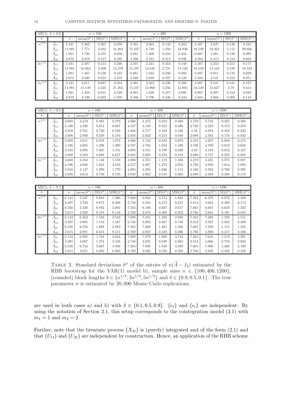|            | AR(1), $\delta = 0.9$ |          |                            | $n = 100$            |                       |          |                            | $n=400$              |                       |          |                        | $n = 1200$           |                       |
|------------|-----------------------|----------|----------------------------|----------------------|-----------------------|----------|----------------------------|----------------------|-----------------------|----------|------------------------|----------------------|-----------------------|
| b          |                       | $\sigma$ | mean( $\widehat{\sigma}^*$ | $SD(\hat{\sigma}^*)$ | $MSE(\hat{\sigma}^*)$ | $\sigma$ | mean( $\widehat{\sigma}^*$ | $SD(\hat{\sigma}^*)$ | $MSE(\hat{\sigma}^*)$ | $\sigma$ | mean( $\hat{\sigma}^*$ | $SD(\hat{\sigma}^*)$ | $MSE(\hat{\sigma}^*)$ |
| $n^{1/3}$  | $A_{11}$              | 2.431    | 2.362                      | 0.267                | 0.076                 | 2.491    | 2.064                      | 0.140                | 0.202                 | 2.487    | 2.037                  | 0.136                | 0.221                 |
|            | $A_{12}$              | 11.981   | 7.771                      | 2.033                | 21.864                | 15.237   | 8.749                      | 1.358                | 43.936                | 16.539   | 10.324                 | 1.112                | 39.866                |
|            | $\overline{A}_{21}$   | 1.081    | 1.736                      | 0.478                | 0.656                 | 0.861    | 1.308                      | 0.210                | 0.244                 | 0.807    | 1.081                  | 0.120                | 0.089                 |
|            | $A_{22}$              | 2.672    | 2.919                      | 0.417                | 0.235                 | 2.566    | 2.521                      | 0.214                | 0.048                 | 2.504    | 2.413                  | 0.154                | 0.032                 |
| $3n^{1/3}$ | $A_{11}$              | 2.431    | 2.497                      | 0.512                | 0.266                 | 2.491    | 2.341                      | 0.354                | 0.148                 | 2.487    | 2.352                  | 0.315                | 0.117                 |
|            | $A_{12}$              | 1.981    | 10.064                     | 3.406                | 15.279                | 15.237   | 12.645                     | 2.721                | 14.126                | 16.539   | 14.134                 | 2.159                | 10.445                |
|            | $A_{21}$              | 1.081    | 1.487                      | 0.530                | 0.445                 | 0.861    | 1.035                      | 0.236                | 0.086                 | 0.807    | 0.911                  | 0.135                | 0.029                 |
|            | A <sub>22</sub>       | 2.672    | 3.030                      | 0.653                | 0.555                 | 2.566    | 2.648                      | 0.337                | 0.120                 | 2.504    | 2.541                  | 0.224                | 0.051                 |
| $5n^{1/3}$ | $A_{11}$              | 2.431    | 2.611                      | 0.687                | 0.504                 | 2.491    | 2.563                      | 0.530                | 0.286                 | 2.487    | 2.541                  | 0.441                | 0.197                 |
|            | $A_{12}$              | 11.981   | 11.149                     | 4.535                | 21.264                | 15.237   | 13.960                     | 3.356                | 12.894                | 16.539   | 15.627                 | 2.79                 | 8.614                 |
|            | A <sub>21</sub>       | L.081    | 1.424                      | 0.641                | 0.529                 | 0.861    | 1.030                      | 0.257                | 0.095                 | 0.807    | 0.897                  | 0.164                | 0.035                 |
|            | $A_{22}$              | 2.672    | 3.196                      | 0.892                | 1.070                 | 2.566    | 2.796                      | 0.436                | 0.243                 | 2.504    | 2.666                  | 0.303                | 0.118                 |

|            | $AR(1), \delta = 0.5$ |          |                            | $n=100$              |                       |          |                        | $n=400$              |                       |          |                            | $n = 1200$           |                       |
|------------|-----------------------|----------|----------------------------|----------------------|-----------------------|----------|------------------------|----------------------|-----------------------|----------|----------------------------|----------------------|-----------------------|
| b          |                       | $\sigma$ | $mean(\widehat{\sigma}^*)$ | $SD(\hat{\sigma}^*)$ | $MSE(\hat{\sigma}^*)$ | $\sigma$ | $mean(\hat{\sigma}^*)$ | $SD(\hat{\sigma}^*)$ | $MSE(\hat{\sigma}^*)$ | $\sigma$ | $mean(\widehat{\sigma}^*)$ | $SD(\hat{\sigma}^*)$ | $MSE(\hat{\sigma}^*)$ |
| $n^{1/3}$  | $A_{11}$              | 3.669    | 3.419                      | 0.465                | 0.279                 | 4.060    | 3.472                  | 0.352                | 0.469                 | 4.219    | 3.716                      | 0.365                | 0.386                 |
|            | $A_{12}$              | 4.196    | 4.108                      | 0.812                | 0.667                 | 4.557    | 4.138                  | 0.552                | 0.480                 | 4.706    | 4.323                      | 0.472                | 0.370                 |
|            | $A_{21}$              | 3.858    | 3.761                      | 0.720                | 0.528                 | 4.094    | 3.717                  | 0.429                | 0.326                 | 4.16     | 3.853                      | 0.358                | 0.223                 |
|            | $A_{22}$              | 2.608    | 2.840                      | 0.359                | 0.183                 | 2.658    | 2.632                  | 0.213                | 0.046                 | 2.686    | 2.582                      | 0.176                | 0.042                 |
| $3n^{1/3}$ | A11                   | 3.669    | 4.011                      | 0.978                | 1.072                 | 4.060    | 4.123                  | 0.822                | 0.679                 | 4.219    | 4.207                      | 0.689                | 0.475                 |
|            | $A_{12}$              | 4.196    | 4.665                      | 1.296                | 1.900                 | 4.557    | 4.704                  | 1.043                | 1.109                 | 4.706    | 4.709                      | 0.810                | 0.656                 |
|            | $A_{21}$              | 3.858    | 4.095                      | 1.065                | 1.191                 | 4.094    | 4.101                  | 0.799                | 0.639                 | 4.16     | 4.194                      | 0.652                | 0.427                 |
|            | $A_{22}$              | 2.608    | 3.033                      | 0.668                | 0.627                 | 2.658    | 2.805                  | 0.378                | 0.164                 | 2.686    | 2.747                      | 0.285                | 0.085                 |
| $5n^{1/3}$ | $A_{11}$              | 3.669    | 4.164                      | 1.146                | 1.558                 | 4.060    | 4.351                  | 1.118                | 1.336                 | 4.219    | 4.425                      | 0.875                | 0.807                 |
|            | $A_{12}$              | 4.196    | 4.626                      | 1.624                | 2.823                 | 4.557    | 4.967                  | 1.373                | 2.054                 | 4.706    | 4.939                      | 1.014                | 1.083                 |
|            | A <sub>21</sub>       | 3.858    | 4.147                      | 1.299                | 1.770                 | 4.094    | 4.294                  | 1.036                | 1.113                 | 4.160    | 4.293                      | 0.760                | 0.595                 |
|            | $A_{22}$              | 2.608    | 3.013                      | 0.749                | 0.725                 | 2.658    | 2.962                  | 0.519                | 0.362                 | 2.686    | 2.859                      | 0.380                | 0.174                 |

|            | $AR(1), \delta = 0.1$ |          |                        | $n = 100$            |                       |          |                        | $n = 400$            |                       |          |                        | $n = 1200$           |                           |
|------------|-----------------------|----------|------------------------|----------------------|-----------------------|----------|------------------------|----------------------|-----------------------|----------|------------------------|----------------------|---------------------------|
| D          |                       | $\sigma$ | $mean(\hat{\sigma}^*)$ | $SD(\hat{\sigma}^*)$ | $MSE(\hat{\sigma}^*)$ | $\sigma$ | $mean(\hat{\sigma}^*)$ | $SD(\hat{\sigma}^*)$ | $MSE(\hat{\sigma}^*)$ | $\sigma$ | $mean(\hat{\sigma}^*)$ | $SD(\hat{\sigma}^*)$ | $MSE(\widehat{\sigma^*})$ |
| $n^{1/3}$  | $A_{11}$              | 6.134    | 5.347                  | 0.864                | 1.366                 | 7.098    | 5.943                  | 0.741                | 1.882                 | 7.324    | 6.478                  | 0.672                | 1.169                     |
|            | $A_{12}$              | 3.497    | 3.703                  | 0.675                | 0.498                 | 3.748    | 3.594                  | 0.472                | 0.247                 | 3.813    | 3.662                  | 0.389                | 0.174                     |
|            | $A_{21}$              | 6.556    | 5.420                  | 0.892                | 2.084                 | 7.565    | 6.100                  | 0.687                | 2.617                 | 7.601    | 6.691                  | 0.628                | 1.222                     |
|            | $A_{22}$              | 2.615    | 2.820                  | 0.318                | 0.143                 | 2.769    | 2.678                  | 0.208                | 0.052                 | 2.786    | 2.691                  | 0.191                | 0.045                     |
| $3n^{1/3}$ | $A_{11}$              | 6.134    | 6.563                  | 1.536                | 2.543                 | 7.098    | 7.241                  | 1.438                | 2.088                 | 7.324    | 7.388                  | 1.228                | 1.511                     |
|            | $A_{12}$              | 3.497    | 3.985                  | 1.153                | 1.567                 | 3.748    | 3.982                  | 0.827                | 0.740                 | 3.813    | 3.937                  | 0.682                | 0.480                     |
|            | $A_{21}$              | 6.556    | 6.576                  | 1.698                | 2.883                 | 7.565    | 7.369                  | 1.381                | 1.946                 | 7.601    | 7.588                  | 1.151                | 1.325                     |
|            | $A_{22}$              | 2.615    | 2.981                  | 0.614                | 0.511                 | 2.769    | 2.937                  | 0.422                | 0.206                 | 2.786    | 2.860                  | 0.317                | 0.106                     |
| $5n^{1/3}$ | $A_{11}$              | 6.134    | 6.805                  | 1.784                | 3.634                 | 7.098    | 7.579                  | 1.869                | 3.724                 | 7.324    | 7.616                  | 1.519                | 2.391                     |
|            | $A_{12}$              | 3.497    | 4.097                  | 1.374                | 2.248                 | 3.748    | 4.035                  | 0.949                | 0.983                 | 3.813    | 4.006                  | 0.782                | 0.650                     |
|            | $A_{21}$              | 6.556    | 6.744                  | 2.067                | 4.306                 | 7.565    | 7.836                  | 1.848                | 3.489                 | 7.601    | 7.806                  | 1.466                | 2.190                     |
|            | $A_{22}$              | 2.615    | 3.071                  | 0.809                | 0.862                 | 2.769    | 3.030                  | 0.520                | 0.338                 | 2.786    | 2.949                  | 0.402                | 0.188                     |

TABLE 2. Standard deviations  $\hat{\sigma}^*$  of the entries of  $n(\hat{A}-I_2)$  estimated by the RBB bootstrap for the VAR(1) model b), sample sizes  $n \in \{100, 400, 1200\}$ , (rounded) block lengths  $b \in \{n^{1/3}, 3n^{1/3}, 5n^{1/3}\}\$  and  $\delta \in \{0.9, 0.5, 0.1\}\$ . The true parameter  $\sigma$  is estimated by 20,000 Monte Carlo replications.

are used in both cases a) and b) with  $\delta \in \{0.1, 0.5, 0.9\}$ .  $\{e_t\}$  and  $\{\epsilon_t\}$  are independent. By using the notation of Section 2.1, this setup corresponds to the cointegration model (3.1) with  $m_1 = 1$  and  $m_2 = 2$ .

Further, note that the bivariate process  $\{X_{2t}\}\$ is (purely) integrated and of the form (2.1) and that  ${U_{1t}}$  and  ${U_{2t}}$  are independent by construction. Hence, an application of the RBB scheme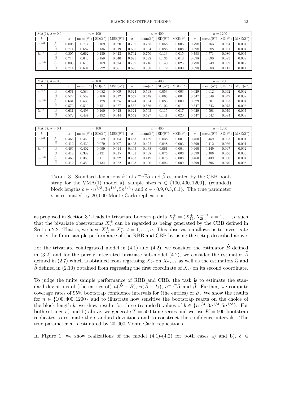|            | $MA(1), \delta = 0.9$ |          |                        | $n = 100$            |                       |          |                            | $n = 400$            |                       |          |                            | $n = 1200$           |                       |
|------------|-----------------------|----------|------------------------|----------------------|-----------------------|----------|----------------------------|----------------------|-----------------------|----------|----------------------------|----------------------|-----------------------|
| b          |                       | $\sigma$ | $mean(\hat{\sigma}^*)$ | $SD(\hat{\sigma}^*)$ | $MSE(\hat{\sigma}^*)$ | $\sigma$ | mean( $\widehat{\sigma}^*$ | $SD(\hat{\sigma}^*)$ | $MSE(\hat{\sigma}^*)$ | $\sigma$ | $mean(\hat{\sigma}^*)$     | $SD(\hat{\sigma}^*)$ | $MSE(\hat{\sigma}^*)$ |
| $n^{1/3}$  | $\widehat{\alpha}$    | 0.805    | 0.714                  | 0.109                | 0.020                 | 0.792    | 0.755                      | 0.068                | 0.006                 | 0.798    | 0.763                      | 0.054                | 0.004                 |
|            | B                     | 0.714    | 0.687                  | 0.135                | 0.019                 | 0.695    | 0.694                      | 0.088                | 0.008                 | 0.698    | 0.688                      | 0.061                | 0.004                 |
| $3n^{1/3}$ | $\widehat{\alpha}$    | 0.805    | 0.662                  | 0.150                | 0.043                 | 0.792    | 0.750                      | 0.113                | 0.015                 | 0.798    | 0.771                      | 0.080                | 0.007                 |
|            | ß                     | 0.714    | 0.643                  | 0.188                | 0.040                 | 0.695    | 0.692                      | 0.135                | 0.018                 | 0.698    | 0.690                      | 0.093                | 0.009                 |
| $5n^{1/3}$ | $\widehat{\alpha}$    | 0.805    | 0.610                  | 0.189                | 0.074                 | 0.792    | 0.716                      | 0.140                | 0.025                 | 0.798    | 0.749                      | 0.099                | 0.012                 |
|            | ß                     | 0.714    | 0.604                  | 0.222                | 0.061                 | 0.695    | 0.668                      | 0.172                | 0.030                 | 0.698    | 0.680                      | 0.117                | 0.014                 |
|            |                       |          |                        |                      |                       |          |                            |                      |                       |          |                            |                      |                       |
|            |                       |          |                        |                      |                       |          |                            |                      |                       |          |                            |                      |                       |
|            |                       |          |                        |                      |                       |          |                            |                      |                       |          |                            |                      |                       |
|            | $MA(1), \delta = 0.5$ |          |                        | $n=100$              |                       |          |                            | $n = 400$            |                       |          |                            | $n = 1200$           |                       |
| b          |                       | $\sigma$ | $mean(\hat{\sigma}^*)$ | $SD(\hat{\sigma}^*)$ | $MSE(\hat{\sigma}^*)$ | $\sigma$ | mean( $\widehat{\sigma}^*$ | $SD(\hat{\sigma}^*)$ | $MSE(\hat{\sigma}^*)$ | $\sigma$ | mean( $\widehat{\sigma}^*$ | $SD(\hat{\sigma}^*)$ | $MSE(\hat{\sigma}^*)$ |
| $n^{1/3}$  | $\widehat{\alpha}$    | 0.631    | 0.580                  | 0.082                | 0.009                 | 0.624    | 0.598                      | 0.053                | 0.003                 | 0.629    | 0.612                      | 0.042                | 0.002                 |
|            | ß                     | 0.572    | 0.559                  | 0.108                | 0.012                 | 0.552    | 0.548                      | 0.063                | 0.004                 | 0.547    | 0.549                      | 0.049                | 0.002                 |
| $3n^{1/3}$ | $\widehat{\alpha}$    | 0.631    | 0.535                  | 0.128                | 0.025                 | 0.624    | 0.584                      | 0.085                | 0.009                 | 0.629    | 0.607                      | 0.063                | 0.004                 |
|            | ß                     | 0.572    | 0.510                  | 0.151                | 0.027                 | 0.552    | 0.536                      | 0.102                | 0.011                 | 0.547    | 0.543                      | 0.075                | 0.006                 |
| $5n^{1/3}$ | $\widehat{\alpha}$    | 0.631    | 0.493                  | 0.160                | 0.045                 | 0.624    | 0.563                      | 0.115                | 0.017                 | 0.629    | 0.598                      | 0.079                | 0.007                 |
|            | $\widehat{\beta}$     | 0.572    | 0.487                  | 0.192                | 0.044                 | 0.552    | 0.527                      | 0.141                | 0.020                 | 0.547    | 0.542                      | 0.094                | 0.009                 |

| $MA(1), \delta$       | $= 0.1$ |          |                              | $n = 100$            |                       |          |                                          | $n = 400$            |                                         |       |                        | $n = 1200$           |                                               |
|-----------------------|---------|----------|------------------------------|----------------------|-----------------------|----------|------------------------------------------|----------------------|-----------------------------------------|-------|------------------------|----------------------|-----------------------------------------------|
|                       |         | $\sigma$ | mean( $\widehat{\sigma}^*$ ) | $SD(\hat{\sigma}^*)$ | $MSE(\hat{\sigma}^*)$ | $\sigma$ | $\langle \hat{\sigma}^* \rangle$<br>mean | $SD(\hat{\sigma}^*)$ | $\overline{\text{MSE}(\hat{\sigma}^*)}$ | σ     | $mean(\hat{\sigma}^*)$ | $SD(\hat{\sigma}^*)$ | $\overline{\mathrm{MSE}}(\widehat{\sigma}^*)$ |
| $n^{1/\delta}$        |         | 0.466    | 0.450                        | 0.059                | 0.004                 | 0.463    | 0.459                                    | 0.038                | 0.001                                   | 0.460 | 0.459                  | 0.033                | 0.001                                         |
|                       |         | 0.412    | 0.430                        | 0.079                | 0.007                 | 0.403    | 0.422                                    | 0.048                | 0.003                                   | 0.399 | 0.412                  | 0.036                | 0.001                                         |
| $3n^{\overline{1/3}}$ | ô       | 0.466    | 0.402                        | 0.099                | 0.014                 | 0.463    | 0.438                                    | 0.061                | 0.004                                   | 0.460 | 0.449                  | 0.047                | 0.002                                         |
|                       |         | 0.412    | 0.389                        | 0.121                | 0.015                 | 0.403    | 0.408                                    | 0.075                | 0.006                                   | 0.399 | 0.406                  | 0.056                | 0.003                                         |
| $5n^{1/3}$            |         | 0.466    | 0.365                        | 0.111                | 0.022                 | 0.463    | 0.419                                    | 0.078                | 0.008                                   | 0.460 | 0.439                  | 0.060                | 0.004                                         |
|                       |         | 0.412    | ${ 0.350}$                   | 0.134                | 0.022                 | 0.403    | 0.390                                    | 0.092                | 0.009                                   | 0.399 | 0.396                  | 0.070                | 0.005                                         |

TABLE 3. Standard deviations  $\hat{\sigma}^*$  of  $n^{-1/2}\hat{\alpha}$  and  $\hat{\beta}$  estimated by the CBB boot-<br>strep for the VMA(1) model a) semple sizes  $n \in (100, 400, 1200)$  (reunded) strap for the VMA(1) model a), sample sizes  $n \in \{100, 400, 1200\}$ , (rounded) block lengths  $b \in \{n^{1/3}, 3n^{1/3}, 5n^{1/3}\}\$  and  $\delta \in \{0.9, 0.5, 0.1\}\$ . The true parameter  $\sigma$  is estimated by 20,000 Monte Carlo replications.

as proposed in Section 3.2 leads to trivariate bootstrap data  $X_t^+ = (X_{1t}^+, X_{2t}^+)'$ ,  $t = 1, ..., n$  such that the bivariate observations  $X_{2t}^+$  can be regarded as being generated by the CBB defined in Section 2.2. That is, we have  $X_{2t}^+ = X_{2t}^*$ ,  $t = 1, \ldots, n$ . This observation allows us to investigate jointly the finite sample performance of the RBB and CBB by using the setup described above.

For the trivariate cointegrated model in (4.1) and (4.2), we consider the estimator  $\widehat{B}$  defined in  $(3.2)$  and for the purely integrated bivariate sub-model  $(4.2)$ , we consider the estimator A defined in (2.7) which is obtained from regressing  $X_{2t}$  on  $X_{2,t-1}$  as well as the estimators  $\widehat{\alpha}$  and  $\widehat{\beta}$  defined in (2.10) obtained from regressing the first coordinate of  $X_{2t}$  on its second coordinate.

To judge the finite sample performance of RBB and CBB, the task is to estimate the standard deviations of (the entries of)  $n(\hat{B}-B)$ ,  $n(\hat{A}-I_2)$ ,  $n^{-1/2}\hat{\alpha}$  and  $\hat{\beta}$ . Further, we compute coverage rates of 95% bootstrap confidence intervals for (the entries) of B. We show the results for  $n \in \{100, 400, 1200\}$  and to illustrate how sensitive the bootstrap reacts on the choice of the block length b, we show results for three (rounded) values of  $b \in \{n^{1/3}, 3n^{1/3}, 5n^{1/3}\}$ . For both settings a) and b) above, we generate  $T = 500$  time series and we use  $K = 500$  bootstrap replicates to estimate the standard deviations and to construct the confidence intervals. The true parameter  $\sigma$  is estimated by 20,000 Monte Carlo replications.

In Figure 1, we show realizations of the model  $(4.1)-(4.2)$  for both cases a) and b),  $\delta \in$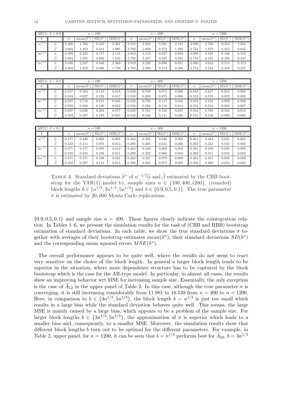|            | AR(1), $\delta = 0.9$ |       |                            | $n=100$              |                       |       |                        | $n = 400$            |                           |       |                        | $n = 1200$           |                       |
|------------|-----------------------|-------|----------------------------|----------------------|-----------------------|-------|------------------------|----------------------|---------------------------|-------|------------------------|----------------------|-----------------------|
|            |                       |       | mean( $\widehat{\sigma}^*$ | $SD(\hat{\sigma}^*)$ | $MSE(\hat{\sigma}^*)$ |       | mean( $\hat{\sigma}^*$ | $SD(\hat{\sigma}^*)$ | $MSE(\widehat{\sigma}^*)$ |       | mean( $\hat{\sigma}^*$ | $SD(\hat{\sigma}^*)$ | $MSE(\hat{\sigma}^*)$ |
| $n^{1/3}$  | â                     | 3.499 | 1.766                      | 0.442                | 3.201                 | 3.919 | 2.282                  | 0.321                | 2.781                     | 4.099 | 2.780                  | 0.253                | 1.804                 |
|            |                       | 2.804 | 1.453                      | 0.414                | 1.995                 | 2.792 | 1.693                  | 0.272                | 1.282                     | 2.754 | 1.979                  | 0.212                | 0.645                 |
| $3n^{1/3}$ | â                     | 3.499 | 2.234                      | 0.717                | 2.116                 | 3.919 | 3.152                  | 0.627                | 0.982                     | 4.099 | 3.525                  | 0.436                | 0.519                 |
|            |                       | 2.804 | 1.765                      | 0.666                | 1.522                 | 2.792 | 2.257                  | 0.525                | 0.561                     | 2.754 | 2.425                  | 0.358                | 0.237                 |
| $5n^{1/3}$ | $\widehat{\alpha}$    | 3.499 | 2.287                      | 0.948                | 2.369                 | 3.919 | 3.238                  | 0.698                | 0.951                     | 4.099 | 3.643                  | 0.515                | 0.473                 |
|            |                       | 2.804 | 1.819                      | 0.886                | 1.756                 | 2.792 | 2.286                  | 0.574                | 0.586                     | 2.754 | 2.524                  | 0.452                | 0.257                 |

|                       | $AR(1), \delta = 0.5$ | $n = 100$<br>$SD(\hat{\sigma}^*)$<br>mean( $\widehat{\sigma}^*$<br>0.827<br>0.764<br>0.119<br>0.018<br>0.627<br>0.126<br>0.017<br>0.593<br>J.827<br>0.181<br>0.710<br>0.046<br>0.180<br>0.033<br>0.566<br>0.593 |       |       |                            |       |                            | $n = 400$            |                       |       |                            | $n = 1200$           |                           |
|-----------------------|-----------------------|-----------------------------------------------------------------------------------------------------------------------------------------------------------------------------------------------------------------|-------|-------|----------------------------|-------|----------------------------|----------------------|-----------------------|-------|----------------------------|----------------------|---------------------------|
|                       |                       |                                                                                                                                                                                                                 |       |       | $MSE(\hat{\sigma}^*)$<br>Ш |       | mean( $\widehat{\sigma}^*$ | $SD(\hat{\sigma}^*)$ | $MSE(\hat{\sigma}^*)$ |       | mean( $\widehat{\sigma}^*$ | $SD(\hat{\sigma}^*)$ | $MSE(\widehat{\sigma}^*)$ |
| $n^{1/3}$             | â                     |                                                                                                                                                                                                                 |       |       |                            | 0.829 | 0.799                      | 0.074                | 0.006                 | 0.834 | 0.817                      | 0.054                | 0.003                     |
|                       |                       |                                                                                                                                                                                                                 |       |       |                            | 0.558 | 0.603                      | 0.075                | 0.008                 | 0.552 | 0.578                      | 0.052                | 0.003                     |
| $3n^{\overline{1/3}}$ | â                     |                                                                                                                                                                                                                 |       |       |                            | 0.829 | 0.786                      | 0.117                | 0.016                 | 0.834 | 0.810                      | 0.089                | 0.009                     |
|                       |                       |                                                                                                                                                                                                                 |       |       |                            | 0.558 | 0.566                      | 0.116                | 0.014                 | 0.552 | 0.553                      | 0.083                | 0.007                     |
| $5n^{1/3}$            | â                     | 0.827                                                                                                                                                                                                           | 0.638 | 0.204 | 0.077                      | 0.829 | 0.761                      | 0.150                | 0.027                 | 0.834 | 0.795                      | 0.104                | 0.012                     |
|                       |                       | 0.593                                                                                                                                                                                                           | 0.497 | 0.193 | 0.047                      | 0.558 | 0.546                      | 0.141                | 0.020                 | 0.552 | 0.546                      | 0.092                | 0.008                     |

| AR(1)          | ). $\delta = 0.1$ |       | $n = 100$<br>$\overline{\text{SD}}\left(\hat{\sigma}^*\right)$<br>$\sigma$<br>mean<br>0.068<br>0.498<br>0.005<br>0.013<br>0.076<br>0.414<br>0.095<br>0.012<br>0.417<br>0.334<br>0.106<br>0.011 |       |                                           |          |                          | $n = 400$                       |                       |          |                        | $n = 1200$           |                           |
|----------------|-------------------|-------|------------------------------------------------------------------------------------------------------------------------------------------------------------------------------------------------|-------|-------------------------------------------|----------|--------------------------|---------------------------------|-----------------------|----------|------------------------|----------------------|---------------------------|
| $\overline{O}$ |                   |       |                                                                                                                                                                                                |       | $\overline{\mathrm{MSE}}(\hat{\sigma}^*)$ | $\sigma$ | mean( $\hat{\sigma}^*$ ) | $\overline{SD}(\hat{\sigma}^*)$ | $MSE(\hat{\sigma}^*)$ | $\sigma$ | $mean(\hat{\sigma}^*)$ | $SD(\hat{\sigma}^*)$ | $MSE(\widehat{\sigma}^*)$ |
| $n^{1/3}$      |                   | 0.471 |                                                                                                                                                                                                |       |                                           | 0.464    | 0.492                    | 0.040                           | 0.002                 | 0.461    | 0.484                  | 0.031                | 0.001                     |
|                |                   | 0.332 |                                                                                                                                                                                                |       |                                           | 0.308    | 0.369                    | 0.044                           | 0.006                 | 0.303    | 0.342                  | 0.032                | 0.003                     |
| $3n^{1/3}$     | â                 | 0.471 |                                                                                                                                                                                                |       |                                           | 0.464    | 0.449                    | 0.063                           | 0.004                 | 0.461    | 0.458                  | 0.045                | 0.002                     |
|                |                   | 0.332 |                                                                                                                                                                                                |       |                                           | 0.308    | 0.322                    | 0.060                           | 0.004                 | 0.303    | 0.315                  | 0.044                | 0.002                     |
| $5n^{1/3}$     |                   | 0.471 | 0.371                                                                                                                                                                                          | 0.106 | 0.021                                     | 0.464    | 0.427                    | 0.079                           | 0.008                 | 0.461    | 0.451                  | 0.056                | 0.003                     |
|                |                   | 0.332 | 0.297                                                                                                                                                                                          | 0.114 | 0.014                                     | 0.308    | 0.305                    | 0.073                           | 0.005                 | 0.303    | 0.308                  | 0.053                | 0.003                     |

TABLE 4. Standard deviations  $\hat{\sigma}^*$  of  $n^{-1/2}\hat{\alpha}$  and  $\hat{\beta}$  estimated by the CBB boot-<br>strep for the VAB(1) model b) segmple sizes  $n \in (100, 400, 1200)$  (reunded) strap for the VAR(1) model b), sample sizes  $n \in \{100, 400, 1200\}$ , (rounded) block lengths  $b \in \{n^{1/3}, 3n^{1/3}, 5n^{1/3}\}\$  and  $\delta \in \{0.9, 0.5, 0.1\}\$ . The true parameter  $\sigma$  is estimated by 20,000 Monte Carlo replications.

 $\{0.9, 0.5, 0.1\}$  and sample size  $n = 400$ . These figures clearly indicate the cointegration relation. In Tables 1–6, we present the simulation results for the task of (CBB and RBB) bootstrap estimation of standard deviations. In each table, we show the true standard deviations  $\sigma$  together with averages of their bootstrap estimates  $mean(\hat{\sigma}^*)$ , their standard deviations  $SD(\hat{\sigma}^*)$ and the corresponding mean squared errors  $MSE(\hat{\sigma}^*)$ .

The overall performance appears to be quite well, where the results do not seem to react very sensitive on the choice of the block length. In general a larger block length tends to be superior in the situation, where more dependence structure has to be captured by the block bootstrap which is the case for the AR-type model. In particular, in almost all cases, the results show an improving behavior wrt MSE for increasing sample size. Essentially, the only exception is the case of  $A_{12}$  in the upper panel of Table 2. In this case, although the true parameter  $\sigma$  is converging, it is still increasing considerably from 11.981 to 16.539 from  $n = 400$  to  $n = 1200$ . Here, in comparison to  $b \in \{3n^{1/3}, 5n^{1/3}\}$ , the block length  $b = n^{1/3}$  is just too small which results in a large bias while the standard deviation behaves quite well. This means, the large MSE is mainly caused by a large bias, which appears to be a problem of the sample size. For larger block lengths  $b \in \{3n^{1/3}, 5n^{1/3}\}\,$ , the approximation of  $\sigma$  is superior which leads to a smaller bias and, consequently, to a smaller MSE. Moreover, the simulation results show that different block lengths b turn out to be optimal for the different parameters. For example, in Table 2, upper panel, for  $n = 1200$ , it can be seen that  $b = n^{1/3}$  performs best for  $\widehat{A}_{22}$ ,  $b = 3n^{1/3}$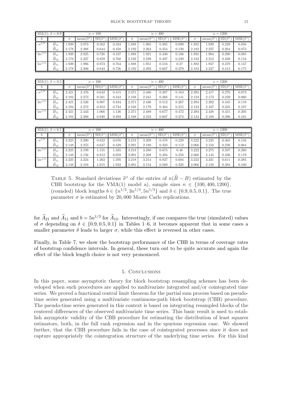|            | $MA(1), \delta = 0.9$ |          |                        | $n = 100$            |                       |          |                        | $n = 400$            |                       |          |                        | $n = 1200$           |                       |
|------------|-----------------------|----------|------------------------|----------------------|-----------------------|----------|------------------------|----------------------|-----------------------|----------|------------------------|----------------------|-----------------------|
|            |                       | $\sigma$ | mean( $\hat{\sigma}^*$ | $SD(\hat{\sigma}^*)$ | $MSE(\hat{\sigma}^*)$ | $\sigma$ | mean( $\hat{\sigma}^*$ | $SD(\hat{\sigma}^*)$ | $MSE(\hat{\sigma}^*)$ | $\sigma$ | mean( $\hat{\sigma}^*$ | $SD(\hat{\sigma}^*)$ | $MSE(\hat{\sigma}^*)$ |
| $n^{1/3}$  | $B_{11}$              | .939     | 2.073                  | 0.562                | 0.334                 | .888     | 1.965                  | 0.305                | 0.099                 | 1.882    | 1.939                  | 0.229                | 0.056                 |
|            | $B_{12}$              | 2.178    | 2.388                  | 0.644                | 0.458                 | 2.192    | 2.264                  | 0.354                | 0.130                 | 2.182    | 2.237                  | 0.264                | 0.073                 |
| $3n^{1/3}$ | $\overline{B}_{11}$   | .939     | 2.025                  | 0.728                | 0.537                 | .888     | 1.921                  | 0.430                | 0.186                 | 1.882    | 1.904                  | 0.290                | 0.085                 |
|            | $B_{12}$              | 2.178    | 2.327                  | 0.859                | 0.760                 | 2.192    | 2.239                  | 0.497                | 0.249                 | 2.182    | 2.212                  | 0.339                | 0.116                 |
| $5n^{1/3}$ | $B_{11}$              | .939     | 1.986                  | 0.873                | 0.764                 | .888     | 1.951                  | 0.516                | 0.27                  | 1.882    | 1.947                  | 0.378                | 0.147                 |
|            | $B_{12}$              | 2.178    | 2.306                  | 0.843                | 0.726                 | 2.192    | 2.292                  | 0.607                | 0.379                 | 2.182    | 2.237                  | 0.415                | 0.175                 |

|            | MA(1)<br>$\delta = 0.5$<br>$n = 100$ |          |                            |                      |                       | $n = 400$ |                        |                      |                       | $n = 1200$ |                            |                      |                       |
|------------|--------------------------------------|----------|----------------------------|----------------------|-----------------------|-----------|------------------------|----------------------|-----------------------|------------|----------------------------|----------------------|-----------------------|
|            |                                      | $\sigma$ | mean( $\widehat{\sigma}^*$ | $SD(\hat{\sigma}^*)$ | $MSE(\hat{\sigma}^*)$ | $\sigma$  | $mean(\hat{\sigma}^*)$ | $SD(\hat{\sigma}^*)$ | $MSE(\hat{\sigma}^*)$ | $\sigma$   | mean( $\widehat{\sigma}^*$ | $SD(\hat{\sigma}^*)$ | $MSE(\hat{\sigma}^*)$ |
| $n^{1/3}$  | $B_{11}$                             | 2.421    | 2.476                      | 0.642                | 0.415                 | 2.371     | 2.486                  | 0.387                | 0.163                 | 2.394      | 2.417                      | 0.270                | 0.073                 |
|            | $B_{12}$                             | 2.194    | 2.273                      | 0.581                | 0.343                 | 2.168     | 2.241                  | 0.368                | 0.141                 | 2.124      | 2.173                      | 0.239                | 0.060                 |
| $3n^{1/3}$ | $B_{11}$                             | 2.421    | 2.526                      | 0.907                | 0.834                 | 2.371     | 2.436                  | 0.512                | 0.267                 | 2.394      | 2.392                      | 0.345                | 0.119                 |
|            | $B_{12}$                             | 2.194    | 2.272                      | 0.853                | 0.734                 | 2.168     | 2.179                  | 0.464                | 0.215                 | 2.124      | 2.167                      | 0.325                | 0.107                 |
| $5n^{1/3}$ | $B_{11}$                             | 2.421    | 2.443                      | 1.066                | 1.136                 | 2.371     | 2.489                  | 0.677                | 0.472                 | 2.394      | 2.428                      | 0.451                | 0.205                 |
|            | $B_{12}$                             | 2.194    | 2.286                      | 0.940                | 0.892                 | 2.168     | 2.242                  | 0.607                | 0.374                 | 2.124      | 2.188                      | 0.396                | 0.161                 |

|                      | $MA(1), \delta = 0.1$<br>$n = 100$ |          |                        |                    |                       | $n = 400$ |                        |                      |                       | $n = 1200$ |                            |                      |                       |
|----------------------|------------------------------------|----------|------------------------|--------------------|-----------------------|-----------|------------------------|----------------------|-----------------------|------------|----------------------------|----------------------|-----------------------|
|                      |                                    | $\sigma$ | mean( $\hat{\sigma}^*$ | $SD(\hat{\sigma})$ | $MSE(\hat{\sigma}^*)$ |           | mean( $\hat{\sigma}^*$ | $SD(\hat{\sigma}^*)$ | $MSE(\hat{\sigma}^*)$ | $\sigma$   | mean( $\widehat{\sigma}^*$ | $SD(\hat{\sigma}^*)$ | $MSE(\hat{\sigma}^*)$ |
| $\overline{n^{1/3}}$ | $\widehat{B}_{11}$                 | 3.225    | 3.200                  | 0.822              | 0.676                 | 3.218     | 3.209                  | 0.478                | 0.229                 | 3.222      | 3.235                      | 0.365                | 0.134                 |
|                      | $B_{12}$                           | 2.148    | 2.255                  | 0.647              | 0.429                 | 2.091     | 2.180                  | 0.323                | 0.112                 | 2.066      | 2.150                      | 0.238                | 0.064                 |
| $3n^{1/3}$           |                                    | 3.225    | 3.199                  | 155                | 1.335                 | 3.218     | 3.280                  | 0.675                | 0.46                  | 3.222      | 3.275                      | 0.507                | 0.260                 |
|                      | $B_{12}$                           | 2.148    | 2.156                  | 0.812              | 0.659                 | 2.091     | 2.208                  | 0.494                | 0.258                 | 2.066      | 2.145                      | 0.336                | 0.119                 |
| $5n^{1/3}$           | $\overline{B}_{11}$                | 3.225    | 3.224                  | .263               | 1.595                 | 3.218     | 3.314                  | 0.827                | 0.694                 | 3.222      | 3.331                      | 0.611                | 0.385                 |
|                      | $B_{12}$                           | 2.148    | 2.194                  | 1.015              | 1.032                 | 2.091     | 2.154                  | 0.569                | 0.328                 | 2.066      | 2.138                      | 0.394                | 0.160                 |

TABLE 5. Standard deviations  $\hat{\sigma}^*$  of the entries of  $n(\hat{B}-B)$  estimated by the GPD has through the VMA(1) used also countering  $n \in (100, 400, 1000)$ CBB bootstrap for the VMA(1) model a), sample sizes  $n \in \{100, 400, 1200\},\$ (rounded) block lengths  $b \in \{n^{1/3}, 3n^{1/3}, 5n^{1/3}\}\$  and  $\delta \in \{0.9, 0.5, 0.1\}\$ . The true parameter  $\sigma$  is estimated by 20,000 Monte Carlo replications.

for  $\widehat{A}_{21}$  and  $\widehat{A}_{11}$  and  $b = 5n^{1/3}$  for  $\widehat{A}_{12}$ . Interestingly, if one compares the true (simulated) values of  $\sigma$  depending on  $\delta \in \{0.9, 0.5, 0.1\}$  in Tables 1–6, it becomes apparent that in some cases a smaller parameter  $\delta$  leads to larger  $\sigma$ , while this effect is reversed in other cases.

Finally, in Table 7, we show the bootstrap performance of the CBB in terms of coverage rates of bootstrap confidence intervals. In general, these turn out to be quite accurate and again the effect of the block length choice is not very pronounced.

#### 5. Conclusions

In this paper, some asymptotic theory for block bootstrap resampling schemes has been developed when such procedures are applied to multivariate integrated and/or cointegrated time series. We proved a functional central limit theorem for the partial sum process based on pseudotime series generated using a multivariate continuous-path block bootstrap (CBB) procedure. The pseudo-time series generated in this context is based on integrating resampled blocks of the centered differences of the observed multivariate time series. This basic result is used to establish asymptotic validity of the CBB procedure for estimating the distribution of least squares estimators, both, in the full rank regression and in the spurious regression case. We showed further, that the CBB procedure fails in the case of cointegrated processes since it does not capture appropriately the cointegration structure of the underlying time series. For this kind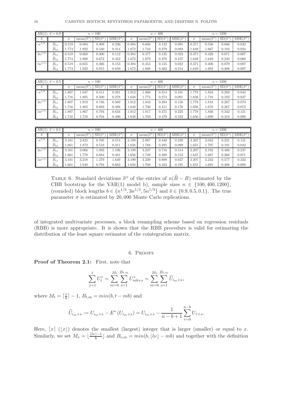|            | AR(1), $\delta = 0.9$<br>$n = 100$ |             |                        |                      |                       | $n = 400$ |                        |                      |                                                               | $n = 1200$ |                        |                      |                       |
|------------|------------------------------------|-------------|------------------------|----------------------|-----------------------|-----------|------------------------|----------------------|---------------------------------------------------------------|------------|------------------------|----------------------|-----------------------|
|            |                                    | $\sigma$    | $mean(\hat{\sigma}^*)$ | $SD(\hat{\sigma}^*)$ | $MSE(\hat{\sigma}^*)$ | $\sigma$  | mean( $\hat{\sigma}^*$ | $SD(\hat{\sigma}^*)$ | $\overline{\mathrm{MSE}}$ $\left( \widehat{\sigma}^* \right)$ | σ          | mean( $\hat{\sigma}^*$ | $SD(\hat{\sigma}^*)$ | $MSE(\hat{\sigma}^*)$ |
| $n^{1/3}$  | $B_1$                              | 0.519       | 0.894                  | 0.309                | 0.236                 | 0.394     | 0.666                  | 0.132                | 0.091                                                         | 0.371      | 0.536                  | 0.066                | 0.032                 |
|            | $B_{12}$                           | 1.774<br>Ш. | 1.922                  | 0.540                | 0.314                 | 1.672     | 1.743                  | 0.279                | 0.083                                                         | 1.649      | 1.667                  | 0.182                | 0.034                 |
| $3n^{1/3}$ |                                    | 0.519       | 0.668                  | 0.300                | 0.112                 | 0.394     | 0.477                  | 0.125                | 0.023                                                         | 0.371      | 0.420                  | 0.071                | 0.007                 |
|            | $B_{12}$                           | 1.774       | 1.800                  | 0.672                | 0.452                 | 1.672     | 1.679                  | 0.370                | 0.137                                                         | 1.649      | 1.649                  | 0.245                | 0.060                 |
| $5n^{1/3}$ |                                    | 0.519       | 0.655                  | 0.366                | 0.153                 | 0.394     | 0.454                  | 0.135                | 0.022                                                         | 0.371      | 0.406                  | 0.079                | 0.007                 |
|            | $B_{12}$                           | 1.774       | 1.922                  | 0.915                | 0.859                 | 1.672     | 1.688                  | 0.462                | 0.214                                                         | 1.649      | 1.692                  | 0.308                | 0.097                 |

|                         | AR(1), $\delta = 0.5$<br>$n=100$ |          |       |                      |                       |          | $n = 400$              |                      |                       |       | $n = 1200$             |                      |                       |  |
|-------------------------|----------------------------------|----------|-------|----------------------|-----------------------|----------|------------------------|----------------------|-----------------------|-------|------------------------|----------------------|-----------------------|--|
| $\boldsymbol{\upsilon}$ |                                  | $\sigma$ | mean  | $SD(\hat{\sigma}^*)$ | $MSE(\hat{\sigma}^*)$ | $\sigma$ | mean( $\hat{\sigma}^*$ | $SD(\hat{\sigma}^*)$ | $MSE(\hat{\sigma}^*)$ |       | mean( $\hat{\sigma}^*$ | $SD(\hat{\sigma}^*)$ | $MSE(\hat{\sigma}^*)$ |  |
| $n^{1/3}$               | $B_{11}$                         | .807     | 1.947 | 0.511                | 0.281                 | L.812    | 1.866                  | 0.314                | 0.101                 | 1.778 | 1.834                  | 0.203                | 0.044                 |  |
|                         | $B_{12}$                         | 1.716    | 1.885 | 0.500                | 0.278                 | . 648    | 1.774                  | 0.274                | 0.091                 | 1.656 | 1.716                  | 0.182                | 0.037                 |  |
| $3n^{1/3}$              | $\widehat B_{11}$                | 0.807    | 1.919 | 0.746                | 0.569                 | .812     | 1.843                  | 0.394                | 0.156                 | 1.778 | 1.818                  | 0.267                | 0.073                 |  |
|                         | $B_{12}$                         | 716      | 1.805 | 0.693                | 0.488                 | 648      | 1.730                  | 0.411                | 0.176                 | 1.656 | 1.670                  | 0.267                | 0.072                 |  |
| $5n^{1/3}$              | $B_{11}$                         | .807     | 1.867 | 0.794                | 0.634                 | .812     | 1.817                  | 0.475                | 0.225                 | 1.778 | 1.836                  | 0.342                | 0.121                 |  |
|                         | $B_{12}$                         | 1.716    | 1.710 | 0.704                | 0.496                 | 1.648    | 1.703                  | 0.479                | 0.232                 | 1.656 | 1.699                  | 0.310                | 0.098                 |  |

|                      | AR(1), $\delta = 0.1$<br>$n=100$ |          |                                    |                      |                       | $n = 400$ |                        |                      |                       | $n = 1200$ |                            |                      |                       |
|----------------------|----------------------------------|----------|------------------------------------|----------------------|-----------------------|-----------|------------------------|----------------------|-----------------------|------------|----------------------------|----------------------|-----------------------|
|                      |                                  | $\sigma$ | $\cdot \widehat{\sigma}^*$<br>mean | $SD(\hat{\sigma}^*)$ | $MSE(\hat{\sigma}^*)$ | $\sigma$  | mean( $\hat{\sigma}^*$ | $SD(\hat{\sigma}^*)$ | $MSE(\hat{\sigma}^*)$ | $\sigma$   | mean( $\widehat{\sigma}^*$ | $SD(\hat{\sigma}^*)$ | $MSE(\hat{\sigma}^*)$ |
| $\overline{n}^{1/3}$ | $\widehat{B}_{11}$               | 3.101    | 2.825                              | 0.705                | 0.574                 | 3.199     | 2.987                  | 0.440                | 0.239                 | 3.207      | 3.042                      | 0.321                | 0.131                 |
|                      | $B_{12}$                         | .661     | 1.872                              | 0.516                | 0.311                 | .656      | 1.788                  | 0.285                | 0.099                 | 1.631      | 1.707                      | 0.191                | 0.042                 |
| $3n^{1/3}$           | $B_{11}$                         | 3.101    | 3.066                              | 1.093                | 1.196                 | 3.199     | 3.237                  | 0.716                | 0.514                 | 3.207      | 3.192                      | 0.486                | 0.237                 |
|                      | $B_{12}$                         | .661     | 1.778                              | 0.684                | 0.481                 | .656      | 1.749                  | 0.380                | 0.153                 | 1.631      | 1.687                      | 0.260                | 0.071                 |
| $5n^{1/3}$           | $\widehat B_{11}$                | 3.101    | 3.218                              | 1.279                | 1.649                 | 3.199     | 3.239                  | 0.809                | 0.657                 | 3.207      | 3.232                      | 0.577                | 0.333                 |
|                      | $B_{12}$                         | .661     | 1.840                              | 0.794                | 0.662                 | 1.656     | 1.708                  | 0.433                | 0.191                 | 1.631      | 1.685                      | 0.308                | 0.098                 |

TABLE 6. Standard deviations  $\hat{\sigma}^*$  of the entries of  $n(\hat{B}-B)$  estimated by the GPD hasteties for the VAD(1) used by course since  $n \in (100, 400, 1000)$ CBB bootstrap for the VAR(1) model b), sample sizes  $n \in \{100, 400, 1200\},\$ (rounded) block lengths  $b \in \{n^{1/3}, 3n^{1/3}, 5n^{1/3}\}\$  and  $\delta \in \{0.9, 0.5, 0.1\}\$ . The true parameter  $\sigma$  is estimated by 20,000 Monte Carlo replications.

of integrated multivariate processes, a block resampling scheme based on regression residuals (RBB) is more appropriate. It is shown that the RBB procedure is valid for estimating the distribution of the least square estimator of the cointegration matrix.

#### 6. Proofs

Proof of Theorem 2.1: First, note that

$$
\sum_{j=1}^{t} U_t^* = \sum_{m=0}^{M_t} \sum_{s=1}^{B_{t,m}} U_{mb+s}^* = \sum_{m=0}^{M_t} \sum_{s=1}^{B_{t,m}} \widehat{U}_{i_m+s},
$$

where  $M_t = \lceil \frac{t}{b} \rceil$  $\frac{t}{b}$ ] – 1,  $B_{t,m} = min(b, t - mb)$  and

$$
\widehat{U}_{i_m+s} := U_{i_m+s} - E^* \left( U_{i_m+s} \right) = U_{i_m+s} - \frac{1}{n-b+1} \sum_{\tau=0}^{n-b} U_{\tau+s}.
$$

Here,  $[x] (x)$  denotes the smallest (largest) integer that is larger (smaller) or equal to x. Similarly, we set  $M_{\nu} = \lfloor \frac{\lfloor l\nu \rfloor - 1}{b} \rfloor$  $\frac{J-1}{b}$  and  $B_{\nu,m} = min(b, \lfloor l\nu \rfloor - mb)$  and together with the definition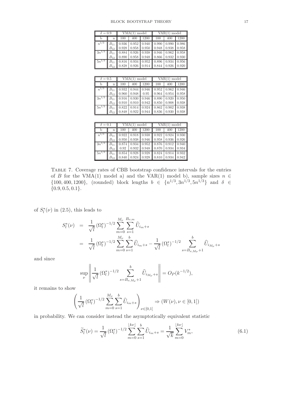| $\delta = 0.9$ |          |                | $VMA(1) \text{ model}$ |                                               | $VAR(1) \text{ model}$ |       |       |  |
|----------------|----------|----------------|------------------------|-----------------------------------------------|------------------------|-------|-------|--|
|                | n        | 100            | 400                    | 1200                                          | 100                    | 400   | 1200  |  |
| $n^{1/3}$      | $B_{11}$ | $\sqrt{0.936}$ |                        | $\mid 0.952 \mid 0.940 \mid 0.990 \mid 0.990$ |                        |       | 0.986 |  |
|                | $B_{12}$ | 0.928          |                        | $\mid 0.958 \mid 0.950 \mid \mid 0.948$       |                        | 0.938 | 0.958 |  |
| $3n^{1/3}$     | $B_{11}$ | 0.884          | 0.926                  |                                               | $0.938 \mid 0.946$     | 0.962 | 0.958 |  |
|                | $B_{12}$ | 0.890          |                        | $0.958$   0.948   0.866                       |                        | 0.932 | 0.930 |  |
| $5n^{1/3}$     | $B_{11}$ | 0.816          | 0.934                  |                                               | $0.952$ 0.896          | 0.934 | 0.956 |  |
|                | $B_{12}$ | 0.828          | 0.926                  |                                               | $0.914$ 0.844          | 0.926 | 0.920 |  |

| $\overline{\delta} = 0.5$ |          |                    | $VMA(1) \text{ model}$ |       | $VAR(1) \text{ model}$  |       |       |  |
|---------------------------|----------|--------------------|------------------------|-------|-------------------------|-------|-------|--|
|                           | n        | 100                | 400                    | 1200  | 100                     | 400   | 1200  |  |
| $n^{1/3}$                 | $B_{11}$ | 0.932              | 0.944                  |       | $0.946$ 0.952 0.962     |       | 0.946 |  |
|                           | $B_{12}$ | 0.960              | 0.948                  | 0.95  | 0.964                   | 0.954 | 0.958 |  |
| $3n^{1/3}$                | $B_{11}$ | $0.916$ 0.930      |                        |       | $0.946$ 0.890           | 0.920 | 0.950 |  |
|                           | $B_{12}$ | $0.910 \mid 0.910$ |                        |       | $0.942 \parallel 0.850$ | 0.908 | 0.938 |  |
| $5n^{1/3}$                | $B_{11}$ | 0.822              | 0.914                  | 0.924 | 0.862                   | 0.902 | 0.938 |  |
|                           | $B_{12}$ | 0.848              | 0.922                  |       | $0.944$ 0.836           | 0.930 | 0.938 |  |

| $\delta = 0.1$ |          |       | $VMA(1) \text{ model}$ |                                         | $VAR(1) \text{ model}$ |       |       |  |
|----------------|----------|-------|------------------------|-----------------------------------------|------------------------|-------|-------|--|
|                | n        | 100   | 400                    | 1200                                    | 100                    | 400   | 1200  |  |
| $n^{1/3}$      |          |       |                        | $0.922$   0.918   0.938   0.922         |                        | 0.924 | 0.930 |  |
|                | $B_{12}$ | 0.950 |                        | $\mid 0.938 \mid 0.946 \mid \mid 0.958$ |                        | 0.936 | 0.926 |  |
| $3n^{1/3}$     | $B_{11}$ | 0.874 |                        | $0.934$ 0.952 0.876                     |                        | 0.912 | 0.940 |  |
|                | $B_{12}$ | 0.92  |                        | $0.932$ 0.948 0.870                     |                        | 0.934 | 0.934 |  |
| $5n^{1/3}$     | $B_{11}$ | 0.854 | 0.928                  |                                         | $0.928$ 0.824          | 0.914 | 0.932 |  |
|                | $B_{12}$ | 0.840 | 0.924                  | $0.928 \pm 0.810$                       |                        | 0.934 | 0.942 |  |

Table 7. Coverage rates of CBB bootstrap confidence intervals for the entries of B for the VMA(1) model a) and the VAR(1) model b), sample sizes  $n \in$  $\{100, 400, 1200\}$ , (rounded) block lengths  $b \in \{n^{1/3}, 3n^{1/3}, 5n^{1/3}\}$  and  $\delta \in$  $\{0.9, 0.5, 0.1\}.$ 

of  $S_l^*(\nu)$  in (2.5), this leads to

$$
S_{l}^{*}(\nu) = \frac{1}{\sqrt{l}} (\Omega_{l}^{*})^{-1/2} \sum_{m=0}^{M_{\nu}} \sum_{s=1}^{B_{\nu,m}} \hat{U}_{i_{m}+s}
$$
  

$$
= \frac{1}{\sqrt{l}} (\Omega_{l}^{*})^{-1/2} \sum_{m=0}^{M_{\nu}} \sum_{s=1}^{b} \hat{U}_{i_{m}+s} - \frac{1}{\sqrt{l}} (\Omega_{l}^{*})^{-1/2} \sum_{s=B_{\nu,M_{\nu}}+1}^{b} \hat{U}_{i_{M_{\nu}}+s}
$$

and since

$$
\sup_{\nu} \left\| \frac{1}{\sqrt{l}} \left( \Omega_l^* \right)^{-1/2} \sum_{s=B_{\nu, M_{\nu}}+1}^{b} \widehat{U}_{i_{M_{\nu}}+s} \right\| = O_P(k^{-1/2}),
$$

it remains to show

$$
\left(\frac{1}{\sqrt{l}}\left(\Omega_l^*\right)^{-1/2}\sum_{m=0}^{M_{\nu}}\sum_{s=1}^{b}\widehat{U}_{i_m+s}\right)_{\nu\in[0,1]}\Rightarrow (W(\nu), \nu\in[0,1])
$$

in probability. We can consider instead the asymptotically equivalent statistic

$$
\widetilde{S}_{l}^{*}(\nu) = \frac{1}{\sqrt{l}} \left(\Omega_{l}^{*}\right)^{-1/2} \sum_{m=0}^{\lfloor k\nu \rfloor} \sum_{s=1}^{b} \widehat{U}_{i_{m}+s} = \frac{1}{\sqrt{k}} \sum_{m=0}^{\lfloor k\nu \rfloor} V_{m}^{*},\tag{6.1}
$$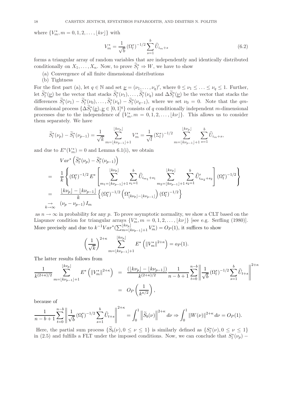where  $\{V_m^*, m = 0, 1, 2, \ldots, \lfloor k\nu \rfloor\}$  with

$$
V_m^* = \frac{1}{\sqrt{b}} \left(\Omega_l^*\right)^{-1/2} \sum_{s=1}^b \widehat{U}_{i_m+s} \tag{6.2}
$$

forms a triangular array of random variables that are independently and identically distributed conditionally on  $X_1, \ldots, X_n$ . Now, to prove  $\widetilde{S}_l^* \Rightarrow W$ , we have to show

- (a) Convergence of all finite dimensional distributions
- (b) Tightness

For the first part (a), let  $q \in \mathbb{N}$  and set  $\underline{\nu} = (\nu_1, \dots, \nu_q)'$ , where  $0 \leq \nu_1 \leq \dots \leq \nu_q \leq 1$ . Further, let  $\widetilde{S}_l^*(\underline{\nu})$  be the vector that stacks  $\widetilde{S}_l^*(\nu_1), \ldots, \widetilde{S}_l^*(\nu_q)$  and  $\Delta \widetilde{S}_l^*(\underline{\nu})$  be the vector that stacks the differences  $\tilde{S}_l^*(\nu_1) - \tilde{S}_l^*(\nu_0), \ldots, \tilde{S}_l^*(\nu_q) - \tilde{S}_l^*(\nu_{q-1}),$  where we set  $\nu_0 = 0$ . Note that the  $qm$ dimensional process  $\{\Delta S_l^*(\underline{\nu}), \underline{\nu} \in [0,1]^q\}$  consists of q conditionally independent m-dimensional processes due to the independence of  $\{V_m^*, m = 0, 1, 2, \ldots, \lfloor k\nu \rfloor\}$ . This allows us to consider them separately. We have

$$
\widetilde{S}_{l}^{*}(\nu_{p}) - \widetilde{S}_{l}^{*}(\nu_{p-1}) = \frac{1}{\sqrt{k}} \sum_{m=\lfloor k\nu_{p-1}\rfloor+1}^{\lfloor k\nu_{p}\rfloor} V_{m}^{*} = \frac{1}{\sqrt{l}} \left(\Sigma_{l}^{*}\right)^{-1/2} \sum_{m=\lfloor k\nu_{p-1}\rfloor+1}^{\lfloor k\nu_{p}\rfloor} \sum_{s=1}^{b} \widehat{U}_{i_{m}+s},
$$

and due to  $E^*(V_m^*) = 0$  and Lemma 6.1(i), we obtain

$$
Var^* \left( \widetilde{S}_l^* (\nu_p) - \widetilde{S}_l^* (\nu_{p-1}) \right)
$$
  
=  $\frac{1}{k} \left\{ (\Omega_l^*)^{-1/2} E^* \left[ \sum_{m_1 = \lfloor k\nu_{p-1} \rfloor + 1}^{\lfloor k\nu_p \rfloor} \sum_{s_1 = 1}^b \widehat{U}_{i_{m_1} + s_1} \sum_{m_2 = \lfloor k\nu_{p-1} \rfloor + 1}^{\lfloor k\nu_p \rfloor} \sum_{s_2 = 1}^b \widehat{U}_{i_{m_2} + s_2} \right] (\Omega_l^*)^{-1/2} \right\}$   
=  $\frac{\lfloor k\nu_p \rfloor - \lfloor k\nu_{p-1} \rfloor}{k} \left\{ (\Omega_l^*)^{-1/2} \left( \Omega_{\lfloor k\nu_p \rfloor - \lfloor k\nu_{p-1} \rfloor}^* \right) (\Omega_l^*)^{-1/2} \right\}$   
 $\rightarrow \left( \nu_p - \nu_{p-1} \right) I_m$ 

as  $n \to \infty$  in probability for any p. To prove asymptotic normality, we show a CLT based on the Liapunov condition for triangular arrays  $\{V_m^*, m = 0, 1, 2, \ldots, \lfloor k\nu \rfloor\}$  [see e.g. Serfling (1980)]. More precisely and due to  $k^{-1}Var^*(\sum_{m=\lfloor k\nu_{p-1}\rfloor+1}^{\lfloor k\nu_p\rfloor}V_m^*)=O_P(1)$ , it suffices to show

$$
\left(\frac{1}{\sqrt{k}}\right)^{2+\kappa} \sum_{m=\lfloor k\nu_{p-1}\rfloor+1}^{\lfloor k\nu_p\rfloor} E^* \left(\|V_m^*\|^{2+\kappa}\right) = o_P(1).
$$

The latter results follows from

$$
\frac{1}{k^{(2+\kappa)/2}} \sum_{m=\lfloor k\nu_{p-1}\rfloor+1}^{\lfloor k\nu_p\rfloor} E^* \left( \|V_m^*\|^{2+\kappa} \right) = \frac{\left( \lfloor k\nu_p\rfloor - \lfloor k\nu_{p-1}\rfloor \right)}{k^{(2+\kappa)/2}} \frac{1}{n-b+1} \sum_{t=0}^{n-b} \left\| \frac{1}{\sqrt{b}} \left( \Omega_l^* \right)^{-1/2} \sum_{s=1}^b \widehat{U}_{t+s} \right\|^{2+\kappa}
$$
\n
$$
= O_P \left( \frac{1}{k^{\kappa/2}} \right),
$$

because of

$$
\frac{1}{n-b+1} \sum_{t=0}^{n-b} \left\| \frac{1}{\sqrt{b}} \left( \Omega_l^* \right)^{-1/2} \sum_{s=1}^b \widehat{U}_{t+s} \right\|^{2+\kappa} = \int_0^1 \left\| \widetilde{S}_b(\nu) \right\|^{2+\kappa} d\nu \Rightarrow \int_0^1 \left\| W(\nu) \right\|^{2+\kappa} d\nu = O_P(1).
$$

Here, the partial sum process  $\{\widetilde{S}_b(\nu), 0 \leq \nu \leq 1\}$  is similarly defined as  $\{S_l^*(\nu), 0 \leq \nu \leq 1\}$ in (2.5) and fulfills a FLT under the imposed conditions. Now, we can conclude that  $S_l^*(\nu_p)$  –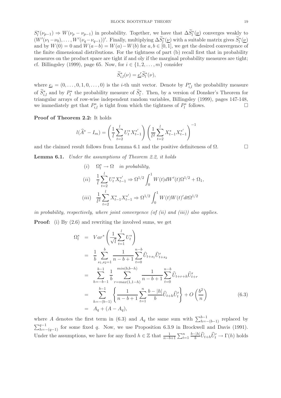$S_l^*(\nu_{p-1}) \Rightarrow W(\nu_p - \nu_{p-1})$  in probability. Together, we have that  $\Delta \widetilde{S}_l^*(\underline{\nu})$  converges weakly to  $(W'(\nu_1-\nu_0),\ldots,W'(\nu_q-\nu_{q-1}))'$ . Finally, multiplying  $\Delta S_l^*(\underline{\nu})$  with a suitable matrix gives  $S_l^*(\underline{\nu})$ and by  $W(0) = 0$  and  $W(a-b) = W(a) - W(b)$  for  $a, b \in [0, 1]$ , we get the desired convergence of the finite dimensional distributions. For the tightness of part (b) recall first that in probability measures on the product space are tight if and oly if the marginal probability measures are tight; cf. Billingsley (1999), page 65. Now, for  $i \in \{1, 2, \ldots, m\}$  consider

$$
\widetilde{S}_{i,l}^*(\nu) = \underline{e}'_i \widetilde{S}_l^*(\nu),
$$

where  $\underline{e}_i = (0, \ldots, 0, 1, 0, \ldots, 0)$  is the *i*-th unit vector. Denote by  $P_{i,l}^*$  the probability measure of  $S_{i,l}^*$  and by  $P_l^*$  the probability measure of  $S_l^*$ . Then, by a version of Donsker's Theorem for triangular arrays of row-wise independent random variables, Billingsley (1999), pages 147-148, we immediately get that  $P_{i,l}^*$  is tight from which the tightness of  $P_l^*$  follows.

## Proof of Theorem 2.2: It holds

$$
l(\widehat{A}^* - I_m) = \left(\frac{1}{l} \sum_{t=2}^l U_t^* X_{t-1}^{*'}\right) \left(\frac{1}{l^2} \sum_{t=2}^l X_{t-1}^* X_{t-1}^{*'}\right)^{-1}
$$

and the claimed result follows from Lemma 6.1 and the positive definiteness of  $\Omega$ .

Lemma 6.1. *Under the assumptions of Theorem 2.2, it holds*

(i) 
$$
\Omega_l^* \to \Omega
$$
 in probability,  
\n(ii)  $\frac{1}{l} \sum_{t=2}^l U_t^* X_{t-1}^{*'} \Rightarrow \Omega^{1/2} \int_0^1 W(t) dW'(t) \Omega^{1/2} + \Omega_1$ ,  
\n(iii)  $\frac{1}{l^2} \sum_{t=2}^l X_{t-1}^* X_{t-1}^{*'} \Rightarrow \Omega^{1/2} \int_0^1 W(t) W(t)' dt \Omega^{1/2}$ 

*in probability, respectively, where joint convergence (of (ii) and (iii)) also applies.*

**Proof:** (i) By  $(2.6)$  and rewriting the involved sums, we get

$$
\Omega_{l}^{*} = Var^{*}\left(\frac{1}{\sqrt{l}}\sum_{t=1}^{l} U_{t}^{*}\right)
$$
\n
$$
= \frac{1}{b} \sum_{s_{1}, s_{2}=1}^{b} \frac{1}{n-b+1} \sum_{t=0}^{n-b} \widehat{U}_{t+s_{1}} \widehat{U}_{t+s_{2}}'
$$
\n
$$
= \sum_{h=-b-1}^{b-1} \frac{1}{b} \sum_{r=max(1,1-h)}^{min(b,b-h)} \frac{1}{n-b+1} \sum_{t=0}^{n-b} \widehat{U}_{t+r+h} \widehat{U}_{t+r}'
$$
\n
$$
= \sum_{h=-\left(b-1\right)}^{b-1} \left\{\frac{1}{n-b+1} \sum_{t=1}^{n} \frac{b-|h|}{b} \widehat{U}_{t+h} \widehat{U}_{t}'\right\} + O\left(\frac{b^{2}}{n}\right)
$$
\n
$$
= A_{q} + (A - A_{q}), \qquad (6.3)
$$

where A denotes the first term in (6.3) and  $A_q$  the same sum with  $\sum_{h=-b-1}^{b-1}$  replaced by  $\sum_{h=-(q-1)}^{q-1}$  for some fixed q. Now, we use Proposition 6.3.9 in Brockwell and Davis (1991). Under the assumptions, we have for any fixed  $h \in \mathbb{Z}$  that  $\frac{1}{n-b+1} \sum_{t=1}^{n}$  $(b-|h|)$  $\frac{1}{b}h \hat{U}_{t+h}\hat{U}'_t \to \Gamma(h)$  holds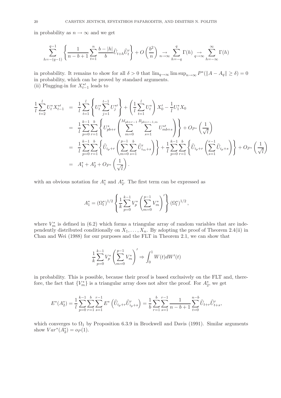in probability as  $n \to \infty$  and we get

$$
\sum_{h=-\left(q-1\right)}^{q-1} \left\{ \frac{1}{n-b+1} \sum_{t=1}^{n} \frac{b-\left|h\right|}{b} \widehat{U}_{t+h} \widehat{U}_{t}' \right\} + O\left(\frac{b^2}{n}\right) \underset{n \to \infty}{\to} \sum_{h=-q}^{q} \Gamma(h) \underset{q \to \infty}{\to} \sum_{h=-\infty}^{\infty} \Gamma(h)
$$

in probability. It remains to show for all  $\delta > 0$  that  $\lim_{q\to\infty} \limsup_{n\to\infty} P^*(||A - A_q|| \ge \delta) = 0$ in probability, which can be proved by standard arguments. (ii) Plugging-in for  $X_{t-1}^{*\prime}$  leads to

$$
\frac{1}{l} \sum_{t=2}^{l} U_{t}^{*} X_{t-1}^{*} = \frac{1}{l} \sum_{t=1}^{l} \left\{ U_{t}^{*} \sum_{j=1}^{t-1} U_{j}^{*} \right\} + \left( \frac{1}{l} \sum_{t=1}^{l} U_{t}^{*} \right) X_{0}^{\prime} - \frac{1}{l} U_{1}^{*} X_{0}
$$
\n
$$
= \frac{1}{l} \sum_{p=0}^{k-1} \sum_{r=1}^{b} \left\{ U_{pb+r}^{*} \left( \sum_{m=0}^{M_{pb+r-1}} \sum_{s=1}^{B_{pb+r-1,m}} U_{mb+s}^{*} \right) \right\} + O_{P^{*}} \left( \frac{1}{\sqrt{l}} \right)
$$
\n
$$
= \frac{1}{l} \sum_{p=0}^{k-1} \sum_{r=1}^{b} \left\{ \widehat{U}_{i_{p}+r} \left( \sum_{m=0}^{p-1} \sum_{s=1}^{b} \widehat{U}_{i_{m}+s}^{\prime} \right) \right\} + \frac{1}{l} \sum_{p=0}^{k-1} \sum_{r=1}^{b} \left\{ \widehat{U}_{i_{p}+r} \left( \sum_{s=1}^{r-1} \widehat{U}_{i_{p}+s} \right) \right\} + O_{P^{*}} \left( \frac{1}{\sqrt{l}} \right)
$$
\n
$$
= A_{1}^{*} + A_{2}^{*} + O_{P^{*}} \left( \frac{1}{\sqrt{l}} \right).
$$

with an obvious notation for  $A_1^*$  and  $A_2^*$ . The first term can be expressed as

$$
A_1^* = (\Omega_l^*)^{1/2} \left\{ \frac{1}{k} \sum_{p=0}^{k-1} V_p^* \left( \sum_{m=0}^{p-1} V_m^* \right)' \right\} (\Omega_l^*)^{1/2},
$$

where  $V_m^*$  is defined in (6.2) which forms a triangular array of random variables that are independently distributed conditionally on  $X_1, \ldots, X_n$ . By adopting the proof of Theorem 2.4(ii) in Chan and Wei (1988) for our purposes and the FLT in Theorem 2.1, we can show that

$$
\frac{1}{k} \sum_{p=0}^{k-1} V_p^* \left( \sum_{m=0}^{p-1} V_m^* \right)' \Rightarrow \int_0^1 W(t) dW'(t)
$$

in probability. This is possible, because their proof is based exclusively on the FLT and, therefore, the fact that  ${V_m^*}$  is a triangular array does not alter the proof. For  $A_2^*$ , we get

$$
E^*(A_2^*) = \frac{1}{l} \sum_{p=0}^{k-1} \sum_{r=1}^b \sum_{s=1}^{r-1} E^*\left(\widehat{U}_{i_p+r} \widehat{U}'_{i_p+s}\right) = \frac{1}{b} \sum_{r=1}^b \sum_{s=1}^{r-1} \frac{1}{n-b+1} \sum_{t=0}^{n-b} \widehat{U}_{t+r} \widehat{U}'_{t+s},
$$

which converges to  $\Omega_1$  by Proposition 6.3.9 in Brockwell and Davis (1991). Similar arguments show  $Var^*(A_2^*) = o_P(1)$ .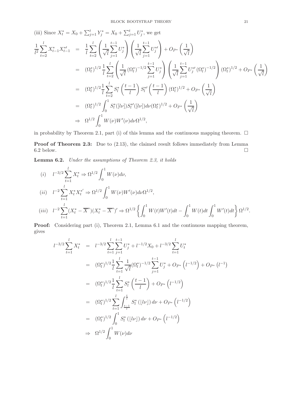(iii) Since 
$$
X_t^* = X_0 + \sum_{j=1}^t Y_j^* = X_0 + \sum_{j=1}^t U_j^*
$$
, we get  
\n
$$
\frac{1}{l^2} \sum_{t=2}^l X_{t-1}^* X_{t-1}^{*\prime} = \frac{1}{l} \sum_{t=2}^l \left( \frac{1}{\sqrt{l}} \sum_{j=1}^{t-1} U_j^* \right) \left( \frac{1}{\sqrt{l}} \sum_{j=1}^{t-1} U_j^{*\prime} \right) + O_{P^*} \left( \frac{1}{\sqrt{l}} \right)
$$
\n
$$
= (\Omega_l^*)^{1/2} \frac{1}{l} \sum_{t=2}^l \left( \frac{1}{\sqrt{l}} (\Omega_l^*)^{-1/2} \sum_{j=1}^{t-1} U_j^* \right) \left( \frac{1}{\sqrt{l}} \sum_{j=1}^{t-1} U_j^{*\prime} (\Omega_l^*)^{-1/2} \right) (\Omega_l^*)^{1/2} + O_{P^*} \left( \frac{1}{\sqrt{l}} \right)
$$
\n
$$
= (\Omega_l^*)^{1/2} \frac{1}{l} \sum_{t=2}^l S_l^* \left( \frac{t-1}{l} \right) S_l^{*\prime} \left( \frac{t-1}{l} \right) (\Omega_l^*)^{1/2} + O_{P^*} \left( \frac{1}{\sqrt{l}} \right)
$$
\n
$$
= (\Omega_l^*)^{1/2} \int_0^1 S_l^* ([l\nu]) S_l^{*\prime} ([l\nu]) d\nu (\Omega_l^*)^{1/2} + O_{P^*} \left( \frac{1}{\sqrt{l}} \right)
$$
\n
$$
\Rightarrow \Omega^{1/2} \int_0^1 W(\nu) W'(\nu) d\nu \Omega^{1/2},
$$

in probability by Theorem 2.1, part (i) of this lemma and the continuous mapping theorem.  $\Box$ 

Proof of Theorem 2.3: Due to  $(2.13)$ , the claimed result follows immediately from Lemma 6.2 below.

Lemma 6.2. *Under the assumptions of Theorem 2.3, it holds*

(i) 
$$
l^{-3/2} \sum_{t=1}^{l} X_t^* \Rightarrow \Omega^{1/2} \int_0^1 W(\nu) d\nu,
$$
  
\n(ii)  $l^{-2} \sum_{t=1}^{l} X_t^* X_t^{*'} \Rightarrow \Omega^{1/2} \int_0^1 W(\nu) W'(\nu) d\nu \Omega^{1/2},$   
\n(iii)  $l^{-2} \sum_{t=1}^{l} (X_t^* - \overline{X}^*)(X_t^* - \overline{X}^*)' \Rightarrow \Omega^{1/2} \left\{ \int_0^1 W(t) W'(t) dt - \int_0^1 W(t) dt \int_0^1 W'(t) dt \right\} \Omega^{1/2}.$ 

Proof: Considering part (i), Theorem 2.1, Lemma 6.1 and the continuous mapping theorem, gives

$$
l^{-3/2} \sum_{t=1}^{l} X_t^* = l^{-3/2} \sum_{t=1}^{l} \sum_{j=1}^{t-1} U_j^* + l^{-1/2} X_0 + l^{-3/2} \sum_{t=1}^{l} U_t^*
$$
  
\n
$$
= (\Omega_l^*)^{1/2} \frac{1}{l} \sum_{t=1}^{l} \frac{1}{\sqrt{l}} (\Omega_l^*)^{-1/2} \sum_{j=1}^{t-1} U_j^* + O_{P^*} (l^{-1/2}) + O_{P^*} (l^{-1})
$$
  
\n
$$
= (\Omega_l^*)^{1/2} \frac{1}{l} \sum_{t=1}^{l} S_l^* \left(\frac{t-1}{l}\right) + O_{P^*} (l^{-1/2})
$$
  
\n
$$
= (\Omega_l^*)^{1/2} \sum_{t=1}^{l} \int_{\frac{t-1}{l}}^{\frac{t}{l}} S_l^* (|l\nu|) d\nu + O_{P^*} (l^{-1/2})
$$
  
\n
$$
= (\Omega_l^*)^{1/2} \int_0^1 S_l^* (|l\nu|) d\nu + O_{P^*} (l^{-1/2})
$$
  
\n
$$
\Rightarrow \Omega^{1/2} \int_0^1 W(\nu) d\nu
$$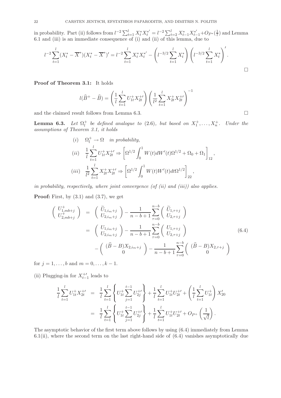in probability. Part (ii) follows from  $l^{-2} \sum_{t=1}^{l} X_t^* X_t^{*'} = l^{-2} \sum_{t=2}^{l} X_{t-1}^* X_{t-1}^{*'} + Op*(\frac{1}{l})$  $\frac{1}{l}$ ) and Lemma 6.1 and (iii) is an immediate consequence of (i) and (ii) of this lemma, due to

$$
l^{-2} \sum_{t=1}^{l} (X_t^* - \overline{X}^*) (X_t^* - \overline{X}^*)' = l^{-2} \sum_{t=1}^{l} X_t^* X_t^{*'} - \left( l^{-3/2} \sum_{t=1}^{l} X_t^* \right) \left( l^{-3/2} \sum_{t=1}^{l} X_t^* \right)'.
$$

Proof of Theorem 3.1: It holds

$$
l(\widehat{B}^{+} - \widehat{B}) = \left(\frac{1}{l} \sum_{t=1}^{l} U_{1t}^{+} X_{2t}^{+'}\right) \left(\frac{1}{l^{2}} \sum_{t=1}^{l} X_{2t}^{+} X_{2t}^{+'}\right)^{-1}
$$

and the claimed result follows from Lemma 6.3.  $\Box$ 

Lemma 6.3. *Let*  $\Omega_l^+$  $\mu_l^+$  be defined analogue to (2.6), but based on  $X_1^+$ , ...,  $X_n^+$ *.* Under the *assumptions of Theorem 3.1, it holds*

$$
(i) \quad \Omega_l^+ \to \Omega \quad in \ probability,
$$
\n
$$
(ii) \quad \frac{1}{l} \sum_{t=1}^l U_{1t}^+ X_{2t}^{+'} \Rightarrow \left[ \Omega^{1/2} \int_0^1 W(t) dW'(t) \Omega^{1/2} + \Omega_0 + \Omega_1 \right]_{12},
$$
\n
$$
(iii) \quad \frac{1}{l^2} \sum_{t=1}^l X_{2t}^+ X_{2t}^{+'} \Rightarrow \left[ \Omega^{1/2} \int_0^1 W(t) W'(t) dt \Omega^{1/2} \right]_{22},
$$

*in probability, respectively, where joint convergence (of (ii) and (iii)) also applies.*

**Proof:** First, by  $(3.1)$  and  $(3.7)$ , we get

$$
\begin{pmatrix}\nU_{1,mb+j}^{+} \\
U_{2,mb+j}^{+}\n\end{pmatrix} = \begin{pmatrix}\n\widetilde{U}_{1,i_{m}+j} \\
U_{2,i_{m}+j}\n\end{pmatrix} - \frac{1}{n-b+1} \sum_{\tau=0}^{n-b} \begin{pmatrix}\n\widetilde{U}_{1,\tau+j} \\
U_{2,\tau+j}\n\end{pmatrix}
$$
\n
$$
= \begin{pmatrix}\nU_{1,i_{m}+j} \\
U_{2,i_{m}+j}\n\end{pmatrix} - \frac{1}{n-b+1} \sum_{\tau=0}^{n-b} \begin{pmatrix}\nU_{1,\tau+j} \\
U_{2,\tau+j}\n\end{pmatrix}
$$
\n
$$
- \begin{pmatrix}\n(\widehat{B}-B)X_{2,i_{m}+j} \\
0\n\end{pmatrix} - \frac{1}{n-b+1} \sum_{\tau=0}^{n-b} \begin{pmatrix}\n(\widehat{B}-B)X_{2,\tau+j} \\
0\n\end{pmatrix}
$$
\n(6.4)

for  $j = 1, ..., b$  and  $m = 0, ..., k - 1$ .

(ii) Plugging-in for  $X_{t-1}^{+\prime}$  leads to

$$
\frac{1}{l} \sum_{t=1}^{l} U_{1t}^{+} X_{2t}^{+'} = \frac{1}{l} \sum_{t=1}^{l} \left\{ U_{1t}^{+} \sum_{j=1}^{t-1} U_{2j}^{+'} \right\} + \frac{1}{l} \sum_{t=1}^{l} U_{1t}^{+} U_{2t}^{+'} + \left( \frac{1}{l} \sum_{t=1}^{l} U_{1t}^{+} \right) X_{20}'
$$
\n
$$
= \frac{1}{l} \sum_{t=1}^{l} \left\{ U_{1t}^{+} \sum_{j=1}^{t-1} U_{2j}^{+'} \right\} + \frac{1}{l} \sum_{t=1}^{l} U_{1t}^{+} U_{2t}^{+'} + O_{P^{+}} \left( \frac{1}{\sqrt{l}} \right).
$$

The asymptotic behavior of the first term above follows by using (6.4) immediately from Lemma  $6.1(ii)$ , where the second term on the last right-hand side of  $(6.4)$  vanishes asymptotically due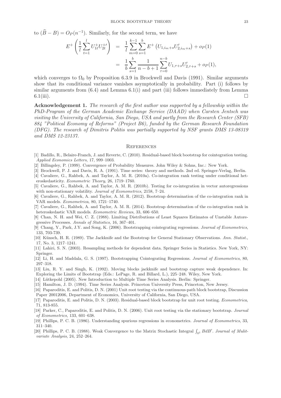to  $(\widehat{B} - B) = O_P(n^{-1})$ . Similarly, for the second term, we have

$$
E^{+}\left(\frac{1}{l}\sum_{t=1}^{l}U_{1t}^{+}U_{2t}^{+'}\right) = \frac{1}{l}\sum_{m=0}^{k-1}\sum_{s=1}^{b}E^{+}\left(U_{1,i_{m}+s}U_{2,i_{m}+s}'\right) + o_{P}(1)
$$
  

$$
= \frac{1}{b}\sum_{s=1}^{b}\frac{1}{n-b+1}\sum_{\tau=0}^{n-b}U_{1,\tau+s}U_{2,\tau+s}' + o_{P}(1),
$$

which converges to  $\Omega_0$  by Proposition 6.3.9 in Brockwell and Davis (1991). Similar arguments show that its conditional variance vanishes asymptotically in probability. Part (i) follows by similar arguments from  $(6.4)$  and Lemma  $6.1(i)$  and part (iii) follows immediately from Lemma  $6.1(iii)$ .

Acknowledgement 1. The research of the first author was supported by a fellowship within the *PhD-Program of the German Academic Exchange Service (DAAD) when Carsten Jentsch was visiting the University of California, San Diego, USA and partly from the Research Center (SFB) 884 "Political Economy of Reforms" (Project B6), funded by the German Research Foundation (DFG). The research of Dimitris Politis was partially supported by NSF grants DMS 13-08319 and DMS 12-23137.*

#### **REFERENCES**

- [1] Badillo, R., Belaire-Franch, J. and Reverte, C. (2010). Residual-based block bootstrap for cointegration testing. Applied Economics Letters, 17, 999–1003.
- [2] Billingsley, P. (1999). Convergence of Probability Measures. John Wiley & Sohns, Inc.: New York.
- [3] Brockwell, P. J. and Davis, R. A. (1991). Time series: theory and methods. 2nd ed. Springer-Verlag, Berlin.
- [4] Cavaliere, G., Rahbek, A. and Taylor, A. M. R. (2010a). Co-integration rank testing under conditional heteroskedasticity. Econometric Theory, 26, 1719–1760.
- [5] Cavaliere, G., Rahbek, A. and Taylor, A. M. R. (2010b). Testing for co-integration in vector autoregressions with non-stationary volatility. Journal of Econometrics, 2158, 7–24.
- [6] Cavaliere, G., Rahbek, A. and Taylor, A. M. R. (2012). Bootstrap determination of the co-integration rank in VAR models. Econometrica, 80, 1721–1740.
- [7] Cavaliere, G., Rahbek, A. and Taylor, A. M. R. (2014). Bootstrap determination of the co-integration rank in heteroskedastic VAR models. Econometric Reviews, 33, 606–650.
- [8] Chan, N. H. and Wei, C. Z. (1988). Limiting Distributions of Least Squares Estimates of Unstable Autoregressive Processes. Annals of Statistics, 16, 367–401.
- [9] Chang, Y., Park, J.Y. and Song, K. (2006). Bootstrapping cointegrating regressions. Journal of Econometrics, 133, 703-739.
- [10] Künsch, H. R. (1989). The Jackknife and the Bootstrap for General Stationary Observations. Ann. Statist., 17, No. 3, 1217–1241.
- [11] Lahiri, S. N. (2003). Resampling methods for dependent data. Springer Series in Statistics. New York, NY: Springer.
- [12] Li, H. and Maddala, G. S. (1997). Bootstrapping Cointegrating Regressions. Journal of Econometrics, 80, 297–318.
- [13] Liu, R. Y. and Singh, K. (1992). Moving blocks jackknife and bootstrap capture weak dependence. In: Exploring the Limits of Bootstrap (Eds.: LePage, R. and Billard, L.), 225–248. Wiley, New York.
- [14] Lütkepohl (2005). New Introduction to Multiple Time Series Analysis. Berlin: Springer.
- [15] Hamilton, J. D. (1994). Time Series Analysis. Princeton University Press, Princeton, New Jersey.
- [16] Paparoditis, E. and Politis, D. N. (2001) Unit root testing via the continuous-path block bootstrap, Discussion Paper 20012006, Department of Economics, University of California, San Diego, USA.
- [17] Paparoditis, E. and Politis, D. N. (2003). Residual-based block bootstrap for unit root testing. Econometrica, 71, 813-855.
- [18] Parker, C., Paparoditis, E. and Politis, D. N. (2006). Unit root testing via the stationary bootstrap. Journal of Econometrics, 133, 601–638.
- [19] Phillips, P. C. B. (1986). Understanding spurious regressions in econometrics. Journal of Econometrics, 33, 311–340.
- [20] Phillips, P. C. B. (1988). Weak Convergence to the Matrix Stochastic Integral  $\int_{0^1} B dB'$ . Journal of Mulitvariate Analysis, 24, 252–264.